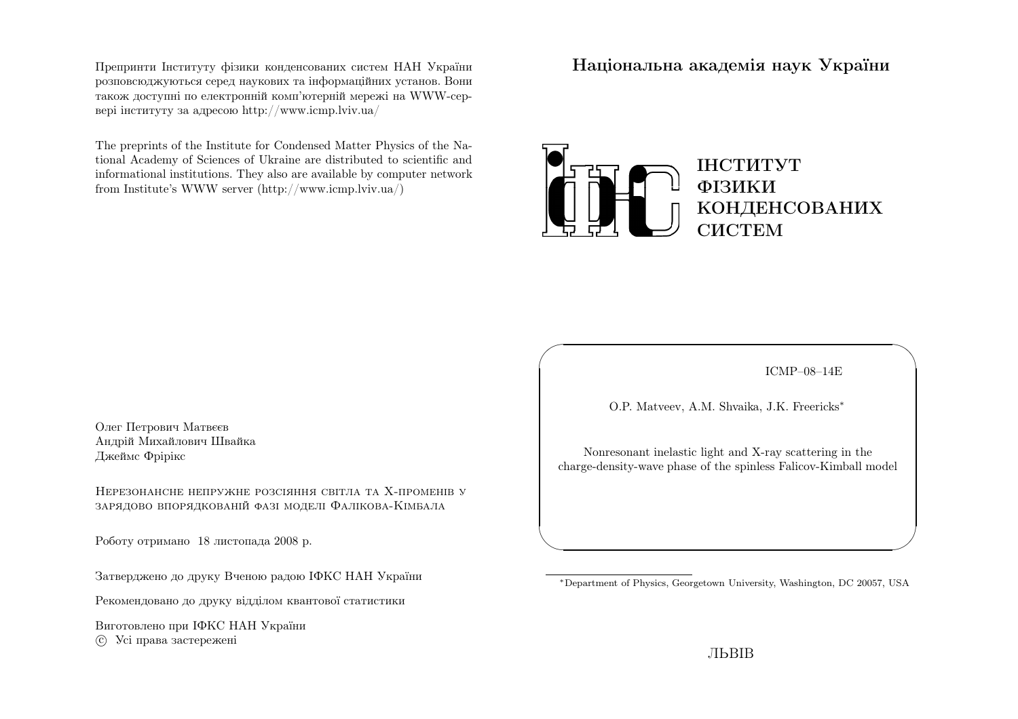Препринти Iнституту фiзики конденсованих систем НАН України розповсюджуються серед наукових та iнформацiйних установ. Вони також доступнi по електроннiй комп'ютернiй мережi на WWW-сервер<sup>i</sup> iнституту за адресою http://www.icmp.lviv.ua/

The preprints of the Institute for Condensed Matter Physics of the National Academy of Sciences of Ukraine are distributed to scientific and informational institutions. They also are available by computer networkfrom Institute's WWW server (http://www.icmp.lviv.ua/)

Нацiональна академiя наук України



Олег Петрович Матвєєв Андрiй Михайлович ШвайкаДжеймс Фрiрiкс

Нерезонансне непружне розсiяння свiтла та Х-променiв узарядово впорядкованiй фазi моделi Фалiкова-Кiмбала

Роботу отримано 18 листопада 2008 р.

Затверджено до друку Вченою радою IФКС НАН України

Рекомендовано до друку вiддiлом квантової статистики

Виготовлено при IФКС НАН Україниc Усi права застережен<sup>i</sup>

ICMP–08–14E

✩

 $\mathcal{S}$ 

O.P. Matveev, A.M. Shvaika, J.K. Freericks∗

 $\sqrt{2}$ 

 $\setminus$ 

Nonresonant inelastic light and X-ray scattering in thecharge-density-wave <sup>p</sup>hase of the spinless Falicov-Kimball model

<sup>∗</sup>Department of Physics, Georgetown University, Washington, DC 20057, USA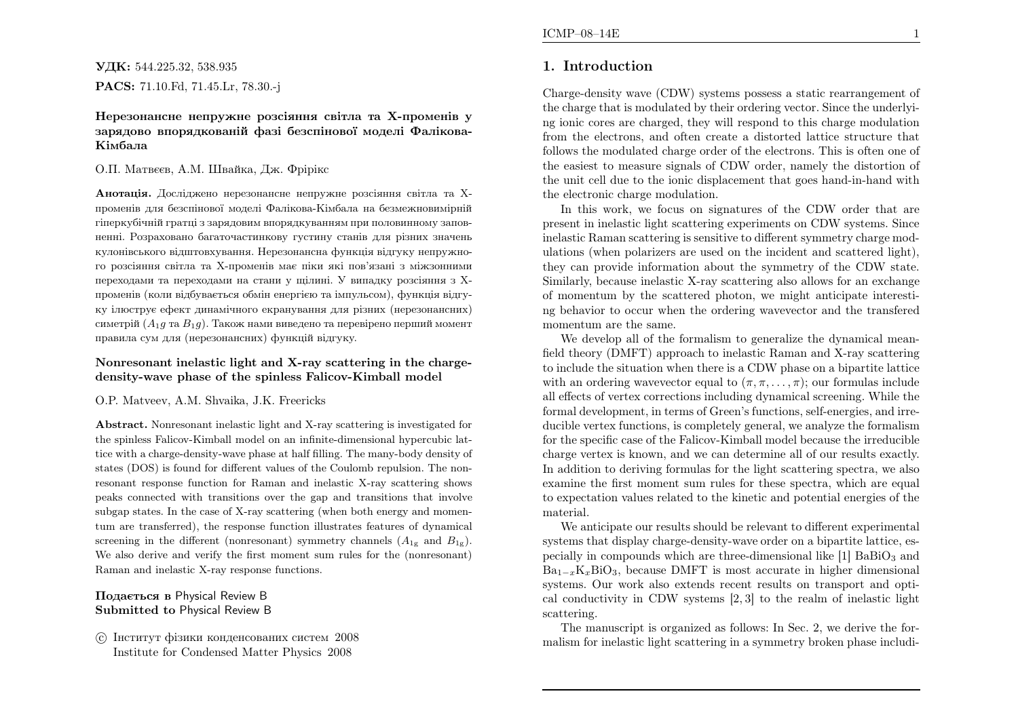УДК: 544.225.32, 538.935

PACS: 71.10.Fd, 71.45.Lr, 78.30.-j

Нерезонансне непружне розсiяння свiтла та Х-променiв у зарядово впорядкованiй фазi безспiнової моделi Фалiкова-Кiмбала

## О.П. Матвєєв, А.М. Швайка, Дж. Фрiрiкс

Анотацiя. Дослiджено нерезонансне непружне розсiяння свiтла та Хпроменiв для безспiнової моделi Фалiкова-Кiмбала на безмежновимiрнiй гiперкубiчнiй гратцi <sup>з</sup> зарядовим впорядкуванням при половинному заповненнi. Розраховано багаточастинкову густину станiв для рiзних значень кулонiвського вiдштовхування. Нерезонансна функцiя вiдгуку непружного розсiяння свiтла та Х-променiв має пiки якi пов'язанi <sup>з</sup> мiжзонними переходами та переходами на стани у щiлинi. У випадку розсiяння <sup>з</sup> Хпроменiв (коли вiдбувається обмiн енергiєю та iмпульсом), функцiя вiдгуку iлюструє ефект динамiчного екранування для <sup>р</sup>iзних (нерезонансних)симетрiй  $(A_1g$  та  $B_1g)$ . Також нами виведено та перевiрено перший момент правила сум для (нерезонансних) функцiй вiдгуку.

## Nonresonant inelastic light and X-ray scattering in the chargedensity-wave phase of the spinless Falicov-Kimball model

## O.P. Matveev, A.M. Shvaika, J.K. Freericks

Abstract. Nonresonant inelastic light and X-ray scattering is investigated for the spinless Falicov-Kimball model on an infinite-dimensional hypercubic lattice with <sup>a</sup> charge-density-wave <sup>p</sup>hase at half filling. The many-body density ofstates (DOS) is found for different values of the Coulomb repulsion. The nonresonant response function for Raman and inelastic X-ray scattering shows peaks connected with transitions over the gap and transitions that involve subgap states. In the case of X-ray scattering (when both energy and momentum are transferred), the response function illustrates features of dynamicalscreening in the different (nonresonant) symmetry channels  $(A_{1g}$  and  $B_{1g})$ . We also derive and verify the first moment sum rules for the (nonresonant)Raman and inelastic X-ray response functions.

# Подається <sup>в</sup> Physical Review <sup>B</sup>Submitted to Physical Review <sup>B</sup>

 c Iнститут фiзики конденсованих систем <sup>2008</sup>Institute for Condensed Matter Physics 2008

# 1. Introduction

Charge-density wave (CDW) systems possess <sup>a</sup> static rearrangement of the charge that is modulated by their ordering vector. Since the underlying ionic cores are charged, they will respond to this charge modulation from the electrons, and often create <sup>a</sup> distorted lattice structure that follows the modulated charge order of the electrons. This is often one of the easiest to measure signals of CDW order, namely the distortion of the unit cell due to the ionic displacement that goes hand-in-hand withthe electronic charge modulation.

 In this work, we focus on signatures of the CDW order that are present in inelastic light scattering experiments on CDW systems. Since inelastic Raman scattering is sensitive to different symmetry charge modulations (when polarizers are used on the incident and scattered light),they can provide information about the symmetry of the CDW state.Similarly, because inelastic X-ray scattering also allows for an exchange of momentum by the scattered <sup>p</sup>hoton, we might anticipate interesting behavior to occur when the ordering wavevector and the transferedmomentum are the same.

We develop all of the formalism to generalize the dynamical meanfield theory (DMFT) approac<sup>h</sup> to inelastic Raman and X-ray scattering to include the situation when there is <sup>a</sup> CDW phase on <sup>a</sup> bipartite latticewith an ordering wavevector equal to  $(\pi, \pi, \dots, \pi)$ ; our formulas include all effects of vertex corrections including dynamical screening. While the formal development, in terms of Green's functions, self-energies, and irreducible vertex functions, is completely general, we analyze the formalism for the specific case of the Falicov-Kimball model because the irreducible charge vertex is known, and we can determine all of our results exactly. In addition to deriving formulas for the light scattering spectra, we also examine the first moment sum rules for these spectra, which are equal to expectation values related to the kinetic and potential energies of thematerial.

 We anticipate our results should be relevant to different experimentalsystems that display charge-density-wave order on <sup>a</sup> bipartite lattice, especially in compounds which are three-dimensional like  $[1]$  BaBiO<sub>3</sub> and  $Ba_{1-x}K_xBiO_3$ , because DMFT is most accurate in higher dimensional systems. Our work also extends recent results on transport and optical conductivity in CDW systems [2, 3] to the realm of inelastic lightscattering.

The manuscript is organized as follows: In Sec. 2, we derive the formalism for inelastic light scattering in <sup>a</sup> symmetry broken <sup>p</sup>hase includi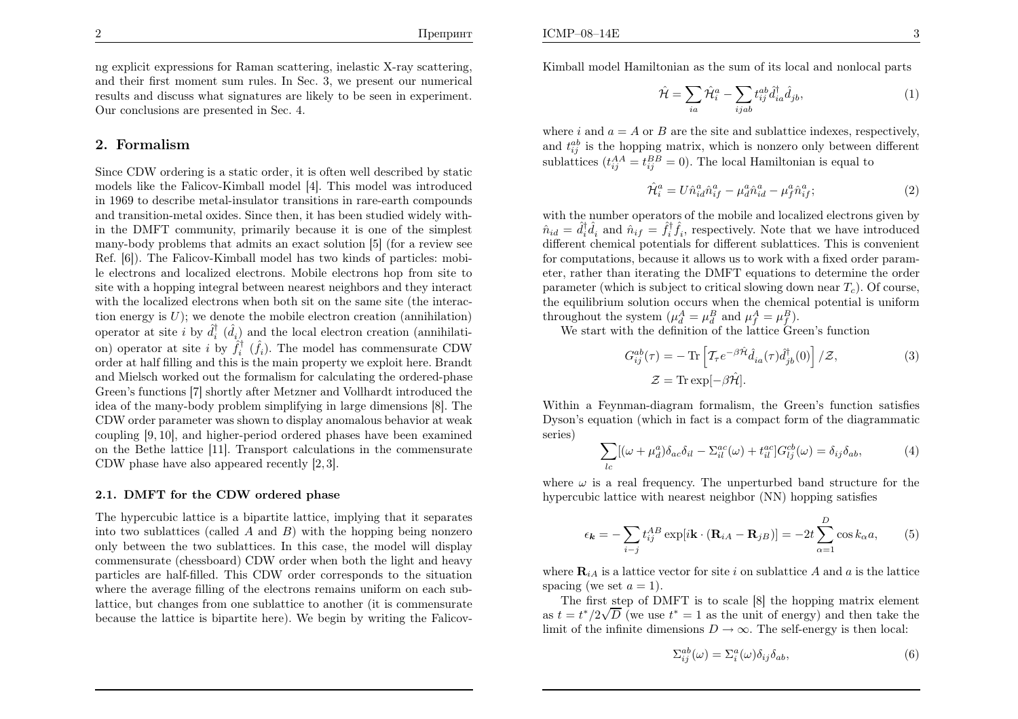ng explicit expressions for Raman scattering, inelastic X-ray scattering, and their first moment sum rules. In Sec. 3, we present our numerical results and discuss what signatures are likely to be seen in experiment.Our conclusions are presented in Sec. 4.

#### 2. Formalism

Since CDW ordering is <sup>a</sup> static order, it is often well described by static models like the Falicov-Kimball model [4]. This model was introduced in 1969 to describe metal-insulator transitions in rare-earth compounds and transition-metal oxides. Since then, it has been studied widely within the DMFT community, primarily because it is one of the simplest many-body problems that admits an exact solution [5] (for <sup>a</sup> review see Ref. [6]). The Falicov-Kimball model has two kinds of particles: mobile electrons and localized electrons. Mobile electrons hop from site to site with <sup>a</sup> hopping integral between nearest neighbors and they interact with the localized electrons when both sit on the same site (the interaction energy is  $U$ ); we denote the mobile electron creation (annihilation) operator at site *i* by  $\hat{d}_i^{\dagger}$  ( $\hat{d}_i$ ) and the local electron creation (annihilation) operator at site *i* by  $\hat{f}_i^{\dagger}$  ( $\hat{f}_i$ ). The model has commensurate CDW order at half filling and this is the main property we exploit here. Brandt and Mielsch worked out the formalism for calculating the ordered-phase Green's functions [7] shortly after Metzner and Vollhardt introduced the idea of the many-body problem simplifying in large dimensions [8]. The CDW order parameter was shown to display anomalous behavior at weak coupling [9, 10], and higher-period ordered <sup>p</sup>hases have been examined on the Bethe lattice [11]. Transport calculations in the commensurateCDW <sup>p</sup>hase have also appeared recently [2, 3].

#### 2.1. DMFT for the CDW ordered phase

The hypercubic lattice is <sup>a</sup> bipartite lattice, implying that it separatesinto two sublattices (called A and B) with the hopping being nonzero only between the two sublattices. In this case, the model will display commensurate (chessboard) CDW order when both the light and heavy particles are half-filled. This CDW order corresponds to the situation where the average filling of the electrons remains uniform on each sublattice, but changes from one sublattice to another (it is commensuratebecause the lattice is bipartite here). We begin by writing the FalicovKimball model Hamiltonian as the sum of its local and nonlocal parts

$$
\hat{\mathcal{H}} = \sum_{ia} \hat{\mathcal{H}}_i^a - \sum_{ijab} t_{ij}^{ab} \hat{d}_{ia}^\dagger \hat{d}_{jb},\tag{1}
$$

where i and  $a = A$  or B are the site and sublattice indexes, respectively, and  $t_{ij}^{ab}$  is the hopping matrix, which is nonzero only between different sublattices  $(t_{ij}^{AA} = t_{ij}^{BB} = 0)$ . The local Hamiltonian is equal to

$$
\hat{\mathcal{H}}_i^a = U \hat{n}_{id}^a \hat{n}_{if}^a - \mu_d^a \hat{n}_{id}^a - \mu_f^a \hat{n}_{if}^a; \tag{2}
$$

with the number operators of the mobile and localized electrons given by $\hat{n}_{id} = \hat{d}_i^{\dagger} \hat{d}_i$  and  $\hat{n}_{if} = \hat{f}_i^{\dagger} \hat{f}_i$ , respectively. Note that we have introduced different chemical potentials for different sublattices. This is convenient for computations, because it allows us to work with <sup>a</sup> fixed order parameter, rather than iterating the DMFT equations to determine the order parameter (which is subject to critical slowing down near  $T_c$ ). Of course, the equilibrium solution occurs when the chemical potential is uniformthroughout the system  $(\mu_d^A = \mu_d^B \text{ and } \mu_f^A = \mu_f^B)$ .

We start with the definition of the lattice Green's function

$$
G_{ij}^{ab}(\tau) = -\operatorname{Tr}\left[\mathcal{T}_{\tau}e^{-\beta\hat{\mathcal{H}}}\hat{d}_{ia}(\tau)\hat{d}_{jb}^{\dagger}(0)\right]/\mathcal{Z},\tag{3}
$$

$$
\mathcal{Z} = \operatorname{Tr}\exp[-\beta\hat{\mathcal{H}}].
$$

Within <sup>a</sup> Feynman-diagram formalism, the Green's function satisfies Dyson's equation (which in fact is <sup>a</sup> compact form of the diagrammaticseries)

$$
\sum_{lc} [(\omega + \mu_d^a) \delta_{ac} \delta_{il} - \Sigma_{il}^{ac}(\omega) + t_{il}^{ac}] G_{lj}^{cb}(\omega) = \delta_{ij} \delta_{ab}, \tag{4}
$$

where  $\omega$  is a real frequency. The unperturbed band structure for the hypercubic lattice with nearest neighbor (NN) hopping satisfies

$$
\epsilon_{\mathbf{k}} = -\sum_{i-j} t_{ij}^{AB} \exp[i\mathbf{k} \cdot (\mathbf{R}_{iA} - \mathbf{R}_{jB})] = -2t \sum_{\alpha=1}^{D} \cos k_{\alpha} a, \qquad (5)
$$

where  $\mathbf{R}_{iA}$  is a lattice vector for site i on sublattice A and a is the lattice spacing (we set  $a = 1$ ).

 The first step of DMFT is to scale [8] the hopping matrix elementas  $t = t^*/2\sqrt{D}$  (we use  $t^* = 1$  as the unit of energy) and then take the limit of the infinite dimensions  $D \to \infty$ . The self-energy is then local:

$$
\Sigma_{ij}^{ab}(\omega) = \Sigma_i^a(\omega)\delta_{ij}\delta_{ab},\tag{6}
$$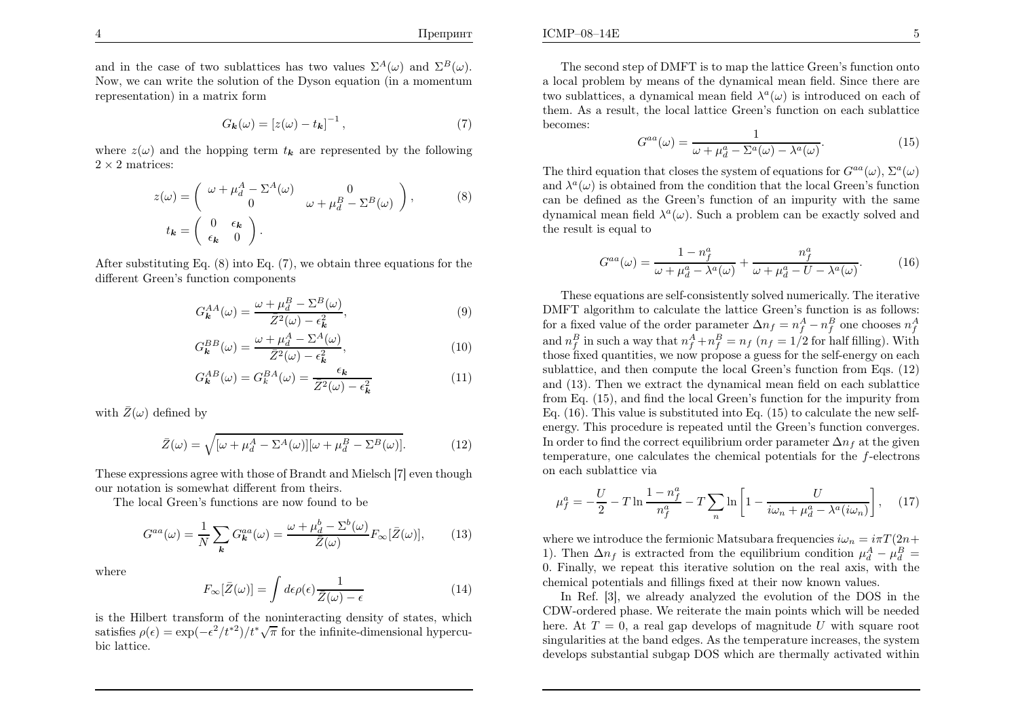and in the case of two sublattices has two values  $\Sigma^A(\omega)$  and  $\Sigma^B(\omega)$ . Now, we can write the solution of the Dyson equation (in <sup>a</sup> momentumrepresentation) in <sup>a</sup> matrix form

$$
G_{\mathbf{k}}(\omega) = \left[z(\omega) - t_{\mathbf{k}}\right]^{-1},\tag{7}
$$

where  $z(\omega)$  and the hopping term  $t_k$  are represented by the following  $2 \times 2$  matrices:

$$
z(\omega) = \begin{pmatrix} \omega + \mu_d^A - \Sigma^A(\omega) & 0\\ 0 & \omega + \mu_d^B - \Sigma^B(\omega) \end{pmatrix},
$$
(8)  

$$
t_{\mathbf{k}} = \begin{pmatrix} 0 & \epsilon_{\mathbf{k}}\\ \epsilon_{\mathbf{k}} & 0 \end{pmatrix}.
$$

After substituting Eq. (8) into Eq. (7), we obtain three equations for thedifferent Green's function components

$$
G_{\mathbf{k}}^{AA}(\omega) = \frac{\omega + \mu_d^B - \Sigma^B(\omega)}{\bar{Z}^2(\omega) - \epsilon_{\mathbf{k}}^2},\tag{9}
$$

$$
G_{\mathbf{k}}^{BB}(\omega) = \frac{\omega + \mu_d^A - \Sigma^A(\omega)}{\bar{Z}^2(\omega) - \epsilon_{\mathbf{k}}^2},\tag{10}
$$

$$
G_{\mathbf{k}}^{AB}(\omega) = G_{k}^{BA}(\omega) = \frac{\epsilon_{\mathbf{k}}}{\bar{Z}^{2}(\omega) - \epsilon_{\mathbf{k}}^{2}} \tag{11}
$$

with  $\bar{Z}(\omega)$  defined by

$$
\bar{Z}(\omega) = \sqrt{[\omega + \mu_d^A - \Sigma^A(\omega)][\omega + \mu_d^B - \Sigma^B(\omega)]}.
$$
 (12)

These expressions agree with those of Brandt and Mielsch [7] even thoughour notation is somewhat different from theirs.

The local Green's functions are now found to be

$$
G^{aa}(\omega) = \frac{1}{N} \sum_{\mathbf{k}} G_{\mathbf{k}}^{aa}(\omega) = \frac{\omega + \mu_d^b - \Sigma^b(\omega)}{\bar{Z}(\omega)} F_{\infty}[\bar{Z}(\omega)],\tag{13}
$$

where

$$
F_{\infty}[\bar{Z}(\omega)] = \int d\epsilon \rho(\epsilon) \frac{1}{\bar{Z}(\omega) - \epsilon} \tag{14}
$$

is the Hilbert transform of the noninteracting density of states, whichsatisfies  $\rho(\epsilon) = \exp(-\epsilon^2/t^{*2})/t^*\sqrt{\pi}$  for the infinite-dimensional hypercubic lattice.

 $\mathbf{E}$  5

The second step of DMFT is to map the lattice Green's function onto <sup>a</sup> local problem by means of the dynamical mean field. Since there aretwo sublattices, a dynamical mean field  $\lambda^a(\omega)$  is introduced on each of them. As <sup>a</sup> result, the local lattice Green's function on each sublattice becomes:

$$
G^{aa}(\omega) = \frac{1}{\omega + \mu_d^a - \Sigma^a(\omega) - \lambda^a(\omega)}.\tag{15}
$$

The third equation that closes the system of equations for  $G^{aa}(\omega)$ ,  $\Sigma^a(\omega)$ and  $\lambda^a(\omega)$  is obtained from the condition that the local Green's function can be defined as the Green's function of an impurity with the samedynamical mean field  $\lambda^a(\omega)$ . Such a problem can be exactly solved and the result is equal to

$$
G^{aa}(\omega) = \frac{1 - n_f^a}{\omega + \mu_d^a - \lambda^a(\omega)} + \frac{n_f^a}{\omega + \mu_d^a - U - \lambda^a(\omega)}.
$$
 (16)

These equations are self-consistently solved numerically. The iterative DMFT algorithm to calculate the lattice Green's function is as follows: for a fixed value of the order parameter  $\Delta n_f = n_f^A - n_f^B$  one chooses  $n_f^A$ and  $n_f^B$  in such a way that  $n_f^A + n_f^B = n_f$  ( $n_f = 1/2$  for half filling). With those fixed quantities, we now propose <sup>a</sup> guess for the self-energy on each sublattice, and then compute the local Green's function from Eqs. (12) and (13). Then we extract the dynamical mean field on each sublattice from Eq. (15), and find the local Green's function for the impurity from Eq. (16). This value is substituted into Eq. (15) to calculate the new selfenergy. This procedure is repeated until the Green's function converges.In order to find the correct equilibrium order parameter  $\Delta n_f$  at the given temperature, one calculates the chemical potentials for the  $f$ -electrons on each sublattice via

$$
\mu_f^a = -\frac{U}{2} - T \ln \frac{1 - n_f^a}{n_f^a} - T \sum_n \ln \left[ 1 - \frac{U}{i\omega_n + \mu_d^a - \lambda^a (i\omega_n)} \right], \quad (17)
$$

where we introduce the fermionic Matsubara frequencies  $i\omega_n = i\pi T (2n+1)$ . Then,  $\Lambda_n = i\pi T (2n+1)$ 1). Then  $\Delta n_f$  is extracted from the equilibrium condition  $\mu_d^A - \mu_d^B =$  0. Finally, we repeat this iterative solution on the real axis, with thechemical potentials and fillings fixed at their now known values.

In Ref. [3], we already analyzed the evolution of the DOS in the CDW-ordered phase. We reiterate the main points which will be neededhere. At  $T = 0$ , a real gap develops of magnitude U with square root singularities at the band edges. As the temperature increases, the systemdevelops substantial subgap DOS which are thermally activated within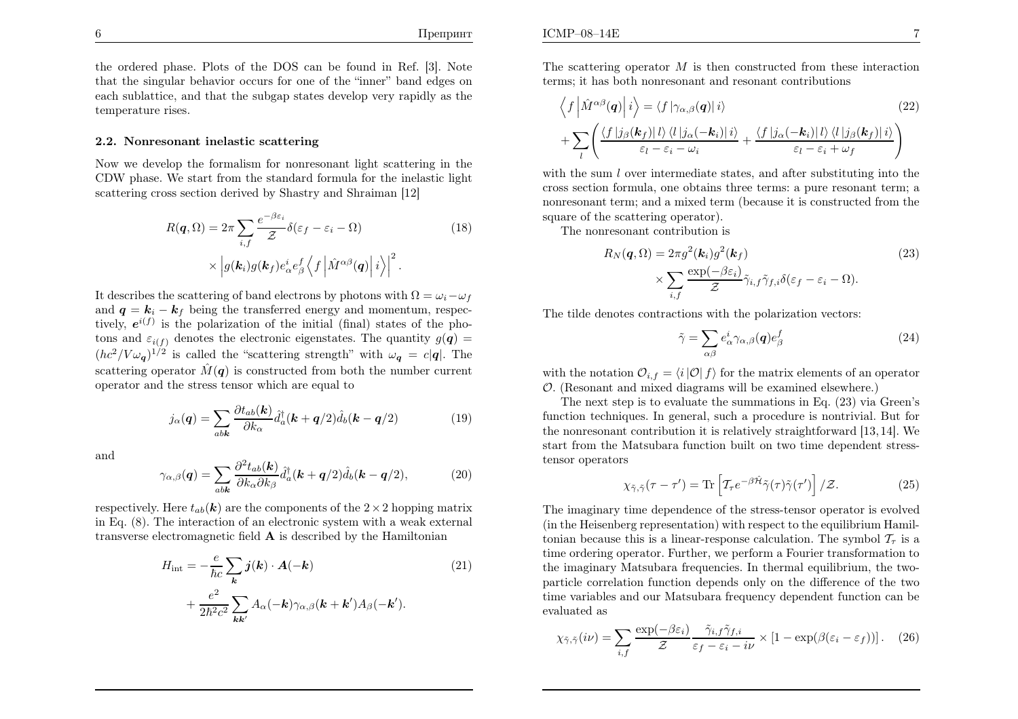the ordered <sup>p</sup>hase. Plots of the DOS can be found in Ref. [3]. Note that the singular behavior occurs for one of the "inner" band edges on each sublattice, and that the subgap states develop very rapidly as thetemperature rises.

#### 2.2. Nonresonant inelastic scattering

Now we develop the formalism for nonresonant light scattering in the CDW <sup>p</sup>hase. We start from the standard formula for the inelastic lightscattering cross section derived by Shastry and Shraiman [12]

$$
R(\boldsymbol{q},\Omega) = 2\pi \sum_{i,f} \frac{e^{-\beta \varepsilon_i}}{\mathcal{Z}} \delta(\varepsilon_f - \varepsilon_i - \Omega)
$$
\n
$$
\times \left| g(\boldsymbol{k}_i) g(\boldsymbol{k}_f) e^i_\alpha e^f_\beta \left\langle f \left| \hat{M}^{\alpha\beta}(\boldsymbol{q}) \right| i \right\rangle \right|^2.
$$
\n(18)

It describes the scattering of band electrons by photons with  $\Omega = \omega_i - \omega_f$ and  $q = k_i - k_f$  being the transferred energy and momentum, respectively,  $e^{i(f)}$  is the polarization of the initial (final) states of the photons and  $\varepsilon_{i(f)}$  denotes the electronic eigenstates. The quantity  $g(q)$  =  $(hc^2/V\omega_q)^{1/2}$  is called the "scattering strength" with  $\omega_q = c|q|$ . The scattering operator  $\hat{M}(\boldsymbol{q})$  is constructed from both the number current operator and the stress tensor which are equal to

$$
j_{\alpha}(\mathbf{q}) = \sum_{ab\mathbf{k}} \frac{\partial t_{ab}(\mathbf{k})}{\partial k_{\alpha}} \hat{d}_{a}^{\dagger}(\mathbf{k} + \mathbf{q}/2) \hat{d}_{b}(\mathbf{k} - \mathbf{q}/2)
$$
(19)

and

$$
\gamma_{\alpha,\beta}(\mathbf{q}) = \sum_{ab\mathbf{k}} \frac{\partial^2 t_{ab}(\mathbf{k})}{\partial k_\alpha \partial k_\beta} \hat{d}_a^\dagger(\mathbf{k} + \mathbf{q}/2) \hat{d}_b(\mathbf{k} - \mathbf{q}/2), \tag{20}
$$

respectively. Here  $t_{ab}(\mathbf{k})$  are the components of the  $2 \times 2$  hopping matrix in Eq. (8). The interaction of an electronic system with <sup>a</sup> weak externaltransverse electromagnetic field  $A$  is described by the Hamiltonian

$$
H_{\text{int}} = -\frac{e}{\hbar c} \sum_{\mathbf{k}} \mathbf{j}(\mathbf{k}) \cdot \mathbf{A}(-\mathbf{k}) + \frac{e^2}{2\hbar^2 c^2} \sum_{\mathbf{k}\mathbf{k}'} A_{\alpha}(-\mathbf{k}) \gamma_{\alpha,\beta}(\mathbf{k} + \mathbf{k}') A_{\beta}(-\mathbf{k}'). \tag{21}
$$

The scattering operator  $M$  is then constructed from these interaction terms: it has both nonresonant and resonant contributions terms; it has both nonresonant and resonant contributions

$$
\langle f | \hat{M}^{\alpha\beta}(\mathbf{q}) | i \rangle = \langle f | \gamma_{\alpha,\beta}(\mathbf{q}) | i \rangle
$$
\n
$$
+ \sum_{l} \left( \frac{\langle f | j_{\beta}(\mathbf{k}_f) | l \rangle \langle l | j_{\alpha}(-\mathbf{k}_i) | i \rangle}{\varepsilon_l - \varepsilon_i - \omega_i} + \frac{\langle f | j_{\alpha}(-\mathbf{k}_i) | l \rangle \langle l | j_{\beta}(\mathbf{k}_f) | i \rangle}{\varepsilon_l - \varepsilon_i + \omega_f} \right)
$$
\n(22)

with the sum  $l$  over intermediate states, and after substituting into the cross section formula, one obtains three terms: <sup>a</sup> pure resonant term; <sup>a</sup> nonresonant term; and <sup>a</sup> mixed term (because it is constructed from thesquare of the scattering operator).

The nonresonant contribution is

$$
R_N(\mathbf{q}, \Omega) = 2\pi g^2(\mathbf{k}_i) g^2(\mathbf{k}_f)
$$
\n
$$
\times \sum_{i, f} \frac{\exp(-\beta \varepsilon_i)}{\mathcal{Z}} \tilde{\gamma}_{i, f} \tilde{\gamma}_{f, i} \delta(\varepsilon_f - \varepsilon_i - \Omega).
$$
\n(23)

The tilde denotes contractions with the polarization vectors:

$$
\tilde{\gamma} = \sum_{\alpha\beta} e^i_{\alpha} \gamma_{\alpha,\beta}(\mathbf{q}) e^f_{\beta} \tag{24}
$$

with the notation  $\mathcal{O}_{i,f} = \langle i | \mathcal{O} | f \rangle$  for the matrix elements of an operator O. (Resonant and mixed diagrams will be examined elsewhere.)

 The next step is to evaluate the summations in Eq. (23) via Green's function techniques. In general, such <sup>a</sup> procedure is nontrivial. But for the nonresonant contribution it is relatively straightforward [13, 14]. We start from the Matsubara function built on two time dependent stresstensor operators

$$
\chi_{\tilde{\gamma},\tilde{\gamma}}(\tau-\tau') = \text{Tr}\left[\mathcal{T}_{\tau}e^{-\beta\hat{\mathcal{H}}}\tilde{\gamma}(\tau)\tilde{\gamma}(\tau')\right]/\mathcal{Z}.
$$
 (25)

The imaginary time dependence of the stress-tensor operator is evolved (in the Heisenberg representation) with respect to the equilibrium Hamiltonian because this is a linear-response calculation. The symbol  $\mathcal{T}_{\tau}$  is a time ordering operator. Further, we perform <sup>a</sup> Fourier transformation to the imaginary Matsubara frequencies. In thermal equilibrium, the twoparticle correlation function depends only on the difference of the two time variables and our Matsubara frequency dependent function can beevaluated as

$$
\chi_{\tilde{\gamma},\tilde{\gamma}}(i\nu) = \sum_{i,f} \frac{\exp(-\beta \varepsilon_i)}{\mathcal{Z}} \frac{\tilde{\gamma}_{i,f}\tilde{\gamma}_{f,i}}{\varepsilon_f - \varepsilon_i - i\nu} \times \left[1 - \exp(\beta(\varepsilon_i - \varepsilon_f))\right]. \tag{26}
$$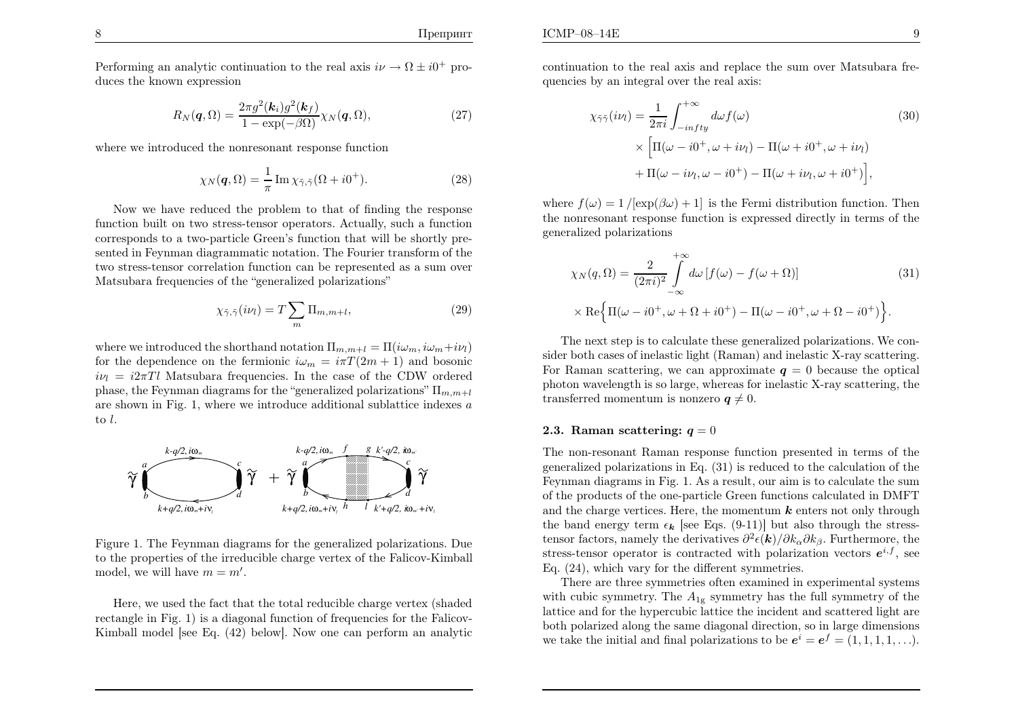Performing an analytic continuation to the real axis  $i\nu \to \Omega \pm i0^+$  produces the known expression

$$
R_N(\mathbf{q}, \Omega) = \frac{2\pi g^2(\mathbf{k}_i) g^2(\mathbf{k}_f)}{1 - \exp(-\beta \Omega)} \chi_N(\mathbf{q}, \Omega), \qquad (27)
$$

where we introduced the nonresonant response function

$$
\chi_N(\mathbf{q}, \Omega) = \frac{1}{\pi} \operatorname{Im} \chi_{\tilde{\gamma}, \tilde{\gamma}} (\Omega + i0^+). \tag{28}
$$

Now we have reduced the problem to that of finding the response function built on two stress-tensor operators. Actually, such <sup>a</sup> function corresponds to <sup>a</sup> two-particle Green's function that will be shortly presented in Feynman diagrammatic notation. The Fourier transform of the two stress-tensor correlation function can be represented as <sup>a</sup> sum over Matsubara frequencies of the "generalized polarizations"

$$
\chi_{\tilde{\gamma},\tilde{\gamma}}(i\nu_l) = T \sum_{m} \Pi_{m,m+l},\tag{29}
$$

where we introduced the shorthand notation  $\Pi_{m,m+l} = \Pi(i\omega_m, i\omega_m+i\nu_l)$ for the dependence on the fermionic  $i\omega_m = i\pi T (2m + 1)$  and bosonic<br>in  $i\omega_m = 3\pi T l$  Metaphone feggynomics. In the same of the CDW and<br>and  $i\nu_l = i2\pi T l$  Matsubara frequencies. In the case of the CDW ordered phase, the Feynman diagrams for the "generalized polarizations"  $\Pi_{m,m+l}$ are shown in Fig. 1, where we introduce additional sublattice indexes  $a$ to <sup>l</sup>.



Figure 1. The Feynman diagrams for the generalized polarizations. Due to the properties of the irreducible charge vertex of the Falicov-Kimballmodel, we will have  $m=m'$ .

Here, we used the fact that the total reducible charge vertex (shaded rectangle in Fig. 1) is <sup>a</sup> diagonal function of frequencies for the Falicov-Kimball model [see Eq. (42) below]. Now one can perform an analytic continuation to the real axis and replace the sum over Matsubara frequencies by an integral over the real axis:

$$
\chi_{\tilde{\gamma}\tilde{\gamma}}(i\nu_l) = \frac{1}{2\pi i} \int_{-infty}^{+\infty} d\omega f(\omega)
$$
(30)  

$$
\times \left[ \Pi(\omega - i0^+, \omega + i\nu_l) - \Pi(\omega + i0^+, \omega + i\nu_l) \right.
$$

$$
+ \Pi(\omega - i\nu_l, \omega - i0^+) - \Pi(\omega + i\nu_l, \omega + i0^+) \right],
$$

where  $f(\omega) = 1 / [\exp(\beta \omega) + 1]$  is the Fermi distribution function. Then the nonresonant response function is expressed directly in terms of the generalized polarizations

$$
\chi_N(q,\Omega) = \frac{2}{(2\pi i)^2} \int_{-\infty}^{+\infty} d\omega \left[ f(\omega) - f(\omega + \Omega) \right]
$$
(31)  
 
$$
\times \text{Re} \left\{ \Pi(\omega - i0^+, \omega + \Omega + i0^+) - \Pi(\omega - i0^+, \omega + \Omega - i0^+) \right\}.
$$

The next step is to calculate these generalized polarizations. We consider both cases of inelastic light (Raman) and inelastic X-ray scattering.For Raman scattering, we can approximate  $q = 0$  because the optical <sup>p</sup>hoton wavelength is so large, whereas for inelastic X-ray scattering, thetransferred momentum is nonzero  $q\neq0$ .

# 2.3. Raman scattering:  $q = 0$

The non-resonant Raman response function presented in terms of the generalized polarizations in Eq. (31) is reduced to the calculation of the Feynman diagrams in Fig. 1. As <sup>a</sup> result, our aim is to calculate the sum of the products of the one-particle Green functions calculated in DMFTand the charge vertices. Here, the momentum  $k$  enters not only through the band energy term  $\epsilon_k$  [see Eqs. (9-11)] but also through the stresstensor factors, namely the derivatives  $\partial^2 \epsilon(\mathbf{k})/\partial k_\alpha \partial k_\beta$ . Furthermore, the stress-tensor operator is contracted with polarization vectors  $e^{i,f}$ , see Eq. (24), which vary for the different symmetries.

There are three symmetries often examined in experimental systemswith cubic symmetry. The  $A_{1g}$  symmetry has the full symmetry of the lattice and for the hypercubic lattice the incident and scattered light are both polarized along the same diagonal direction, so in large dimensionswe take the initial and final polarizations to be  $e^{i} = e^{f} = (1, 1, 1, 1, ...)$ .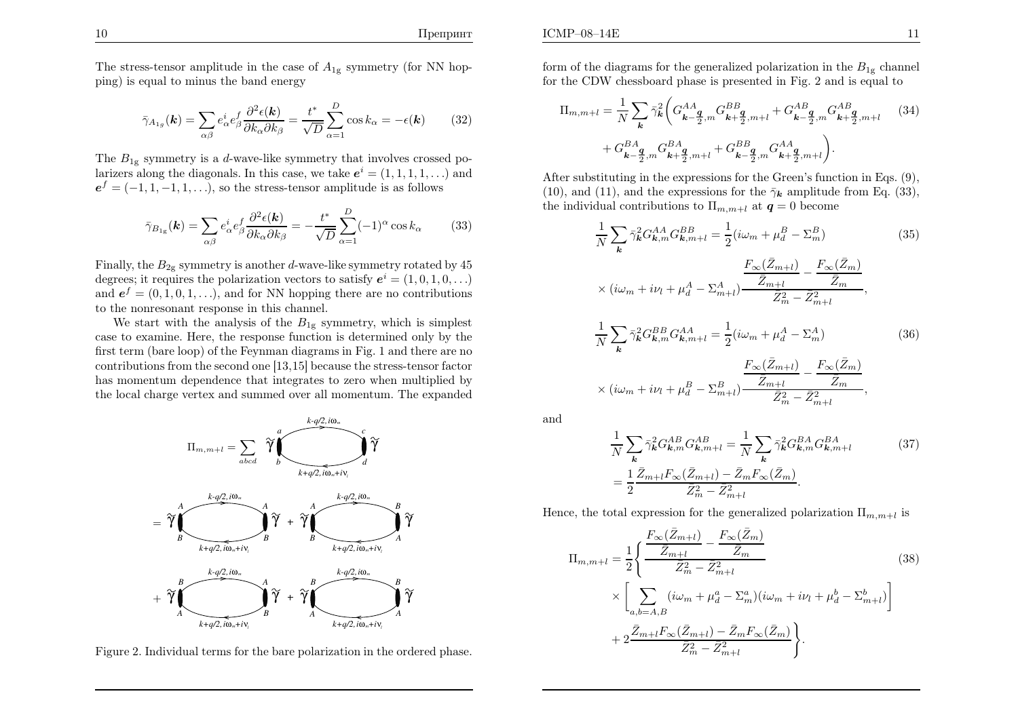The stress-tensor amplitude in the case of  $A_{1g}$  symmetry (for NN hop<sup>p</sup>ing) is equa<sup>l</sup> to minus the band energy

$$
\bar{\gamma}_{A_{1g}}(\mathbf{k}) = \sum_{\alpha\beta} e_{\alpha}^i e_{\beta}^f \frac{\partial^2 \epsilon(\mathbf{k})}{\partial k_{\alpha} \partial k_{\beta}} = \frac{t^*}{\sqrt{D}} \sum_{\alpha=1}^D \cos k_{\alpha} = -\epsilon(\mathbf{k}) \tag{32}
$$

The  $B_{1g}$  symmetry is a *d*-wave-like symmetry that involves crossed polarizers along the diagonals. In this case, we take  $e^{i} = (1, 1, 1, 1, ...)$  and  $e^f = (-1, 1, -1, 1, \ldots)$ , so the stress-tensor amplitude is as follows

$$
\bar{\gamma}_{B_{1g}}(\mathbf{k}) = \sum_{\alpha\beta} e_{\alpha}^i e_{\beta}^f \frac{\partial^2 \epsilon(\mathbf{k})}{\partial k_{\alpha} \partial k_{\beta}} = -\frac{t^*}{\sqrt{D}} \sum_{\alpha=1}^D (-1)^{\alpha} \cos k_{\alpha} \tag{33}
$$

Finally, the  $B_{2g}$  symmetry is another *d*-wave-like symmetry rotated by 45 degrees; it requires the polarization vectors to satisfy  $e^{i} = (1, 0, 1, 0, ...)$ and  $e^f = (0, 1, 0, 1, \ldots)$ , and for NN hopping there are no contributions to the nonresonant response in this channel.

We start with the analysis of the  $B_{1g}$  symmetry, which is simplest case to examine. Here, the response function is determined only by the first term (bare loop) of the Feynman diagrams in Fig. <sup>1</sup> and there are no contributions from the second one [13,15] because the stress-tensor factor has momentum dependence that integrates to zero when multiplied bythe local charge vertex and summed over all momentum. The expanded



Figure 2. Individual terms for the bare polarization in the ordered <sup>p</sup>hase.

form of the diagrams for the generalized polarization in the  $B_{1g}$  channel for the CDW chessboard <sup>p</sup>hase is presented in Fig. 2 and is equal to

$$
\Pi_{m,m+l} = \frac{1}{N} \sum_{k} \bar{\gamma}_{k}^{2} \bigg( G_{k-\frac{q}{2},m}^{AA} G_{k+\frac{q}{2},m+l}^{BB} + G_{k-\frac{q}{2},m}^{AB} G_{k+\frac{q}{2},m+l}^{AB} \qquad (34)
$$

$$
+ G_{k-\frac{q}{2},m}^{BA} G_{k+\frac{q}{2},m+l}^{BA} + G_{k-\frac{q}{2},m}^{BB} G_{k+\frac{q}{2},m+l}^{AA} \bigg).
$$

After substituting in the expressions for the Green's function in Eqs. (9),(10), and (11), and the expressions for the  $\bar{\gamma}_k$  amplitude from Eq. (33), the individual contributions to  $\Pi_{m,m+l}$  at  $q=0$  become

$$
\frac{1}{N} \sum_{\mathbf{k}} \bar{\gamma}_{\mathbf{k}}^{2} G_{\mathbf{k},m}^{AA} G_{\mathbf{k},m+l}^{BB} = \frac{1}{2} (i\omega_{m} + \mu_{d}^{B} - \Sigma_{m}^{B})
$$
(35)  

$$
\times (i\omega_{m} + i\nu_{l} + \mu_{d}^{A} - \Sigma_{m+l}^{A}) \frac{\frac{F_{\infty}(\bar{Z}_{m+l})}{\bar{Z}_{m+l}} - \frac{F_{\infty}(\bar{Z}_{m})}{\bar{Z}_{m}^{2}}}{\bar{Z}_{m}^{2} - \bar{Z}_{m+l}^{2}},
$$

$$
\frac{1}{N} \sum_{\mathbf{k}} \bar{\gamma}_{\mathbf{k}}^{2} G_{\mathbf{k},m}^{BB} G_{\mathbf{k},m+l}^{AA} = \frac{1}{2} (i\omega_{m} + \mu_{d}^{A} - \Sigma_{m}^{A})
$$
(36)

$$
\times (i\omega_m + i\nu_l + \mu_d^B - \Sigma_{m+l}^B) \frac{\frac{F_{\infty}(\bar{Z}_{m+l})}{\bar{Z}_{m+l}} - \frac{F_{\infty}(\bar{Z}_m)}{\bar{Z}_m^2}}{\bar{Z}_m^2 - \bar{Z}_{m+l}^2}
$$

and

$$
\frac{1}{N} \sum_{\mathbf{k}} \bar{\gamma}_{\mathbf{k}}^2 G_{\mathbf{k},m}^{AB} G_{\mathbf{k},m+l}^{AB} = \frac{1}{N} \sum_{\mathbf{k}} \bar{\gamma}_{\mathbf{k}}^2 G_{\mathbf{k},m}^{BA} G_{\mathbf{k},m+l}^{BA}
$$
(37)  

$$
= \frac{1}{2} \frac{\bar{Z}_{m+l} F_{\infty}(\bar{Z}_{m+l}) - \bar{Z}_m F_{\infty}(\bar{Z}_m)}{\bar{Z}_m^2 - \bar{Z}_{m+l}^2}.
$$

,

Hence, the total expression for the generalized polarization  $\Pi_{m,m+l}$  is

$$
\Pi_{m,m+l} = \frac{1}{2} \left\{ \frac{\frac{F_{\infty}(\bar{Z}_{m+l})}{\bar{Z}_{m+l}} - \frac{F_{\infty}(\bar{Z}_m)}{\bar{Z}_m}}{\bar{Z}_m^2 - \bar{Z}_{m+l}^2} \right. \times \left[ \sum_{a,b=A,B} (i\omega_m + \mu_d^a - \Sigma_m^a)(i\omega_m + i\nu_l + \mu_d^b - \Sigma_{m+l}^b) \right] \n+ 2 \frac{\bar{Z}_{m+l} F_{\infty}(\bar{Z}_{m+l}) - \bar{Z}_m F_{\infty}(\bar{Z}_m)}{\bar{Z}_m^2 - \bar{Z}_{m+l}^2} \right\}.
$$
\n(38)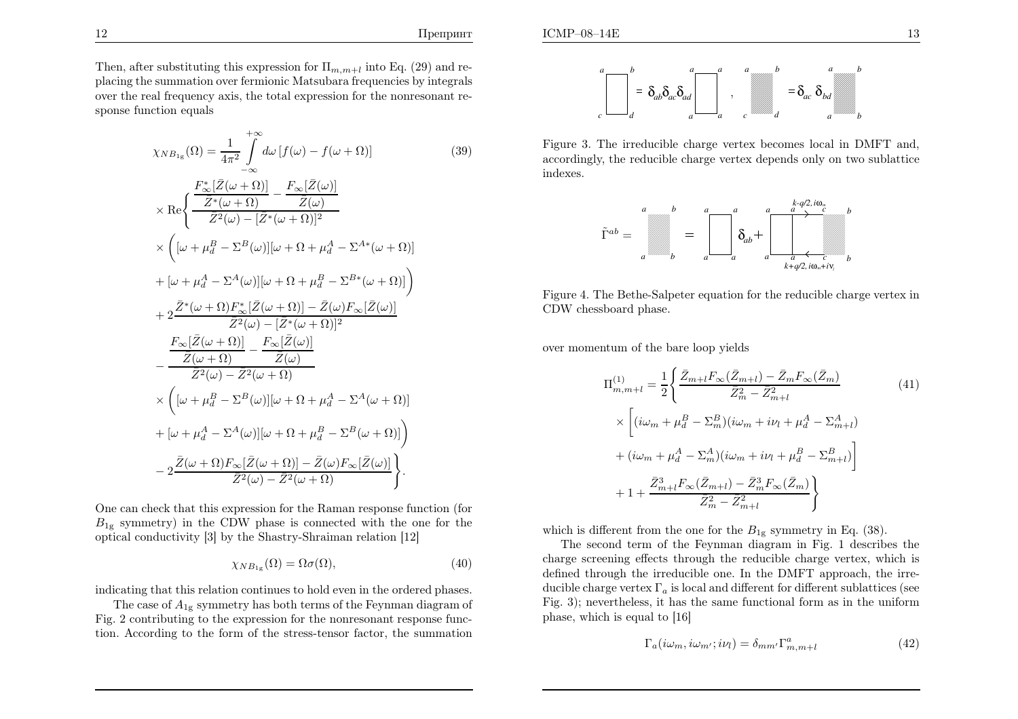

Figure 3. The irreducible charge vertex becomes local in DMFT and,accordingly, the reducible charge vertex depends only on two sublatticeindexes.



Figure 4. The Bethe-Salpeter equation for the reducible charge vertex inCDW chessboard phase.

over momentum of the bare loop <sup>y</sup>ields

$$
\Pi_{m,m+l}^{(1)} = \frac{1}{2} \left\{ \frac{\bar{Z}_{m+l} F_{\infty}(\bar{Z}_{m+l}) - \bar{Z}_m F_{\infty}(\bar{Z}_m)}{\bar{Z}_m^2 - \bar{Z}_{m+l}^2} \right\}
$$
\n
$$
\times \left[ (i\omega_m + \mu_d^B - \Sigma_m^B)(i\omega_m + i\nu_l + \mu_d^A - \Sigma_{m+l}^A) + (i\omega_m + \mu_d^A - \Sigma_m^A)(i\omega_m + i\nu_l + \mu_d^B - \Sigma_{m+l}^B) \right]
$$
\n
$$
+ 1 + \frac{\bar{Z}_{m+l}^3 F_{\infty}(\bar{Z}_{m+l}) - \bar{Z}_m^3 F_{\infty}(\bar{Z}_m)}{\bar{Z}_m^2 - \bar{Z}_{m+l}^2} \right\}
$$
\n(41)

which is different from the one for the  $B_{1g}$  symmetry in Eq. (38).

 The second term of the Feynman diagram in Fig. 1 describes the charge screening effects through the reducible charge vertex, which is defined through the irreducible one. In the DMFT approach, the irreducible charge vertex  $\Gamma_a$  is local and different for different sublattices (see Fig. 3); nevertheless, it has the same functional form as in the uniform<sup>p</sup>hase, which is equa<sup>l</sup> to [16]

$$
\Gamma_a(i\omega_m, i\omega_{m'}; i\nu_l) = \delta_{mm'} \Gamma^a_{m,m+l}
$$
\n(42)

Then, after substituting this expression for  $\Pi_{m,m+l}$  into Eq. (29) and re- <sup>p</sup>lacing the summation over fermionic Matsubara frequencies by integrals over the real frequency axis, the total expression for the nonresonant response function equals

$$
\chi_{NB_{1g}}(\Omega) = \frac{1}{4\pi^2} \int_{-\infty}^{+\infty} d\omega \left[ f(\omega) - f(\omega + \Omega) \right]
$$
(39)  
\n
$$
\times \text{Re} \left\{ \frac{F_{\infty}^* [\bar{Z}(\omega + \Omega)]}{\bar{Z}^*(\omega + \Omega)} - \frac{F_{\infty} [\bar{Z}(\omega)]}{\bar{Z}(\omega)} \right\}
$$
  
\n
$$
\times \left( [\omega + \mu_d^B - \Sigma^B(\omega)] [\omega + \Omega + \mu_d^A - \Sigma^{A*}(\omega + \Omega)] \right\}
$$
  
\n
$$
+ [\omega + \mu_d^A - \Sigma^A(\omega)] [\omega + \Omega + \mu_d^B - \Sigma^{B*}(\omega + \Omega)]
$$
  
\n
$$
+ 2 \frac{\bar{Z}^*(\omega + \Omega) F_{\infty}^* [\bar{Z}(\omega + \Omega)] - \bar{Z}(\omega) F_{\infty} [\bar{Z}(\omega)]}{\bar{Z}^2(\omega) - [\bar{Z}^*(\omega + \Omega)]^2}
$$
  
\n
$$
- \frac{F_{\infty} [\bar{Z}(\omega + \Omega)]}{\bar{Z}^2(\omega) - \bar{Z}^2(\omega + \Omega)}
$$
  
\n
$$
\times \left( [\omega + \mu_d^B - \Sigma^B(\omega)] [\omega + \Omega + \mu_d^A - \Sigma^A(\omega + \Omega)] \right)
$$
  
\n
$$
\times \left( [\omega + \mu_d^A - \Sigma^A(\omega)] [\omega + \Omega + \mu_d^A - \Sigma^A(\omega + \Omega)] \right)
$$
  
\n
$$
+ [\omega + \mu_d^A - \Sigma^A(\omega)] [\omega + \Omega + \mu_d^B - \Sigma^B(\omega + \Omega)]
$$
  
\n
$$
- 2 \frac{\bar{Z}(\omega + \Omega) F_{\infty} [\bar{Z}(\omega + \Omega)] - \bar{Z}(\omega) F_{\infty} [\bar{Z}(\omega)]}{\bar{Z}^2(\omega) - \bar{Z}^2(\omega + \Omega)}
$$

One can check that this expression for the Raman response function (for $B_{1g}$  symmetry) in the CDW phase is connected with the one for the optical conductivity [3] by the Shastry-Shraiman relation [12]

$$
\chi_{NB_{1g}}(\Omega) = \Omega \sigma(\Omega),\tag{40}
$$

indicating that this relation continues to hold even in the ordered phases.

The case of  $A_{1g}$  symmetry has both terms of the Feynman diagram of Fig. 2 contributing to the expression for the nonresonant response function. According to the form of the stress-tensor factor, the summation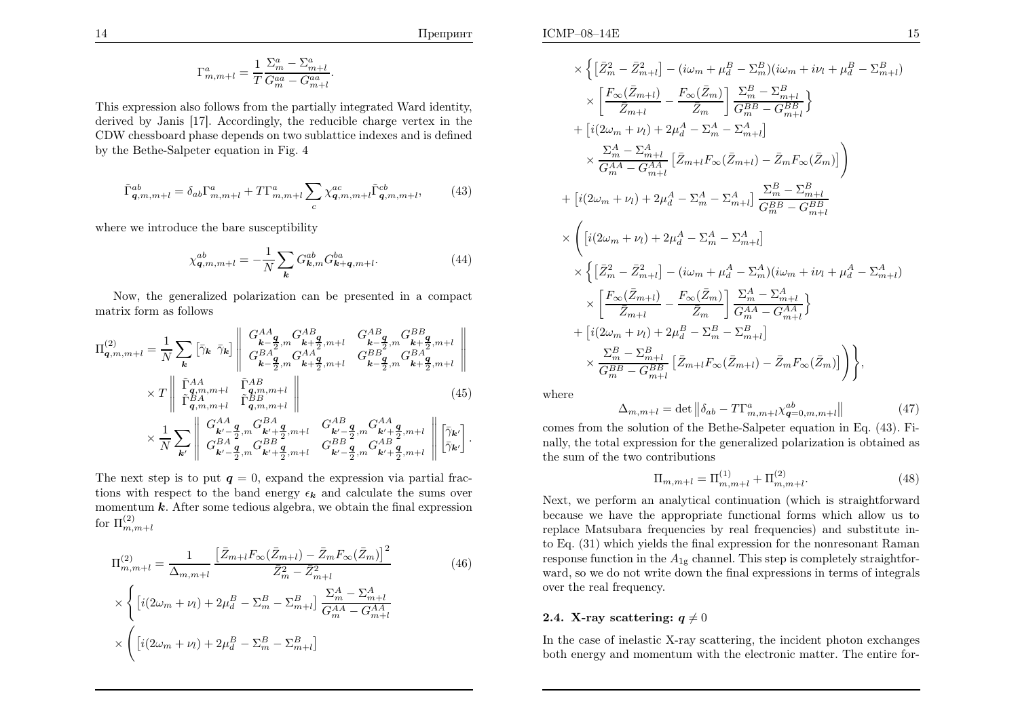Препринт

$$
\Gamma^a_{m,m+l} = \frac{1}{T} \frac{\Sigma^a_m - \Sigma^a_{m+l}}{G^{aa}_{m} - G^{aa}_{m+l}}.
$$

This expression also follows from the partially integrated Ward identity, derived by Janis [17]. Accordingly, the reducible charge vertex in the CDW chessboard phase depends on two sublattice indexes and is definedby the Bethe-Salpeter equation in Fig. 4

$$
\tilde{\Gamma}_{\mathbf{q},m,m+l}^{ab} = \delta_{ab} \Gamma_{m,m+l}^{a} + T \Gamma_{m,m+l}^{a} \sum_{c} \chi_{\mathbf{q},m,m+l}^{ac} \tilde{\Gamma}_{\mathbf{q},m,m+l}^{cb},\tag{43}
$$

where we introduce the bare susceptibility

$$
\chi_{\mathbf{q},m,m+l}^{ab} = -\frac{1}{N} \sum_{\mathbf{k}} G_{\mathbf{k},m}^{ab} G_{\mathbf{k}+\mathbf{q},m+l}^{ba}.
$$
 (44)

Now, the generalized polarization can be presented in <sup>a</sup> compactmatrix form as follows

$$
\Pi_{\mathbf{q},m,m+l}^{(2)} = \frac{1}{N} \sum_{\mathbf{k}} \left[ \bar{\gamma}_{\mathbf{k}} \ \bar{\gamma}_{\mathbf{k}} \right] \begin{vmatrix} G_{\mathbf{k}-\mathbf{q}}^{AA} & G_{\mathbf{k}-\mathbf{q}}^{AB} & G_{\mathbf{k}-\mathbf{q}}^{AB} & G_{\mathbf{k}+\mathbf{q}}^{BB} \\ G_{\mathbf{k}-\mathbf{q}}^{BA} & G_{\mathbf{k}+\mathbf{q}}^{AA} & G_{\mathbf{k}-\mathbf{q}}^{BB} & G_{\mathbf{k}+\mathbf{q}}^{BB} \\ G_{\mathbf{k}-\mathbf{q}}^{BA} & G_{\mathbf{k}+\mathbf{q}}^{AA} & G_{\mathbf{k}-\mathbf{q}}^{BB} & G_{\mathbf{k}+\mathbf{q}}^{BB} \\ \bar{\Gamma}_{\mathbf{q},m,m+l}^{BA} & \bar{\Gamma}_{\mathbf{q},m,m+l}^{AB} & \end{vmatrix} \times T \begin{vmatrix} \bar{\Gamma}_{A}^{AA} & \bar{\Gamma}_{A}^{AB} & G_{\mathbf{k}-\mathbf{q}}^{BB} & G_{\mathbf{k}+\mathbf{q}}^{BB} \\ \bar{\Gamma}_{\mathbf{q},m,m+l}^{BA} & \bar{\Gamma}_{\mathbf{q},m,m+l}^{BB} & \end{vmatrix} \times \frac{1}{N} \sum_{\mathbf{k}'} \begin{vmatrix} G_{\mathbf{k}'}^{AA} & G_{\mathbf{k}+\mathbf{q}}^{AB} & G_{\mathbf{k}+\mathbf{q}}^{AB} & G_{\mathbf{k}+\mathbf{q}}^{AA} \\ G_{\mathbf{k}'-\mathbf{q}}^{BA} & G_{\mathbf{k}'+\mathbf{q}}^{BB} & G_{\mathbf{k}'+\mathbf{q}}^{AB} & G_{\mathbf{k}'+\mathbf{q}}^{AB} \\ G_{\mathbf{k}'-\mathbf{q}}^{BA} & G_{\mathbf{k}'+\mathbf{q}}^{BB} & G_{\mathbf{k}'+\mathbf{q}}^{AB} & G_{\mathbf{k}'+\mathbf{q}}^{AB} \end{vmatrix} \cdot \begin{bmatrix} \bar{\gamma}_{\mathbf{k}'} \\ \bar{\gamma}_{\mathbf{k}'} \end{bmatrix}.
$$
\n
$$
(45)
$$

The next step is to put  $q = 0$ , expand the expression via partial fractions with respect to the band energy  $\epsilon_k$  and calculate the sums over momentum  $k$ . After some tedious algebra, we obtain the final expression for  $\Pi_{m,m+l}^{(2)}$ 

$$
\Pi_{m,m+l}^{(2)} = \frac{1}{\Delta_{m,m+l}} \frac{\left[\bar{Z}_{m+l}F_{\infty}(\bar{Z}_{m+l}) - \bar{Z}_{m}F_{\infty}(\bar{Z}_{m})\right]^{2}}{\bar{Z}_{m}^{2} - \bar{Z}_{m+l}^{2}} \qquad (46)
$$
\n
$$
\times \left\{ \left[i(2\omega_{m} + \nu_{l}) + 2\mu_{d}^{B} - \Sigma_{m}^{B} - \Sigma_{m+l}^{B}\right] \frac{\Sigma_{m}^{A} - \Sigma_{m+l}^{A}}{G_{m}^{AA} - G_{m+l}^{AA}} \right\}
$$
\n
$$
\times \left( \left[i(2\omega_{m} + \nu_{l}) + 2\mu_{d}^{B} - \Sigma_{m}^{B} - \Sigma_{m+l}^{B}\right] \right\}
$$

$$
\times \left\{ \left[ \bar{Z}_{m}^{2} - \bar{Z}_{m+l}^{2} \right] - (i\omega_{m} + \mu_{d}^{B} - \Sigma_{m}^{B})(i\omega_{m} + i\nu_{l} + \mu_{d}^{B} - \Sigma_{m+l}^{B}) \right\} \\ \times \left[ \frac{F_{\infty}(\bar{Z}_{m+l})}{\bar{Z}_{m+l}} - \frac{F_{\infty}(\bar{Z}_{m})}{\bar{Z}_{m}} \right] \frac{\Sigma_{m}^{B} - \Sigma_{m+l}^{B}}{G_{m}^{BB} - G_{m+l}^{BB}} \\ + \left[ i(2\omega_{m} + \nu_{l}) + 2\mu_{d}^{A} - \Sigma_{m}^{A} - \Sigma_{m+l}^{A} \right] \\ \times \frac{\Sigma_{m}^{A} - \Sigma_{m+l}^{A}}{G_{m}^{AA} - G_{m+l}^{AA}} \left[ \bar{Z}_{m+l} F_{\infty}(\bar{Z}_{m+l}) - \bar{Z}_{m} F_{\infty}(\bar{Z}_{m}) \right] \\ + \left[ i(2\omega_{m} + \nu_{l}) + 2\mu_{d}^{A} - \Sigma_{m}^{A} - \Sigma_{m+l}^{A} \right] \frac{\Sigma_{m}^{B} - \Sigma_{m+l}^{B}}{G_{m}^{BB} - G_{m+l}^{BB}} \\ \times \left\{ \left[ i(2\omega_{m} + \nu_{l}) + 2\mu_{d}^{A} - \Sigma_{m}^{A} - \Sigma_{m+l}^{A} \right] \\ \times \left\{ \left[ \bar{Z}_{m}^{2} - \bar{Z}_{m+l}^{2} \right] - (i\omega_{m} + \mu_{d}^{A} - \Sigma_{m}^{A}) (i\omega_{m} + i\nu_{l} + \mu_{d}^{A} - \Sigma_{m+l}^{A}) \right. \\ \times \left\{ \frac{F_{\infty}(\bar{Z}_{m+l})}{\bar{Z}_{m+l}} - \frac{F_{\infty}(\bar{Z}_{m})}{\bar{Z}_{m}} \right\} \frac{\Sigma_{m}^{A} - \Sigma_{m+l}^{A}}{G_{m}^{AA} - G_{m+l}^{AA}} \right\} \\ + \left[ i(2\omega_{m} + \nu_{l}) + 2\mu_{d}^{B} - \Sigma_{m}^{B} - \Sigma_{m+l}^{B} \right] \\ \times \frac{\Sigma_{m}^{B} - \Sigma_{m+l}^{B}}{G_{m}
$$

where

$$
\Delta_{m,m+l} = \det \left\| \delta_{ab} - T\Gamma^a_{m,m+l} \chi^{ab}_{\mathbf{q}=0,m,m+l} \right\| \tag{47}
$$

 comes from the solution of the Bethe-Salpeter equation in Eq. (43). Finally, the total expression for the generalized polarization is obtained asthe sum of the two contributions

$$
\Pi_{m,m+l} = \Pi_{m,m+l}^{(1)} + \Pi_{m,m+l}^{(2)}.
$$
\n(48)

 Next, we perform an analytical continuation (which is straightforward because we have the appropriate functional forms which allow us to replace Matsubara frequencies by real frequencies) and substitute into Eq. (31) which <sup>y</sup>ields the final expression for the nonresonant Ramanresponse function in the  $A_{1g}$  channel. This step is completely straightfor ward, so we do not write down the final expressions in terms of integralsover the real frequency.

# **2.4.** X-ray scattering:  $q\neq0$

In the case of inelastic X-ray scattering, the incident <sup>p</sup>hoton exchangesboth energy and momentum with the electronic matter. The entire for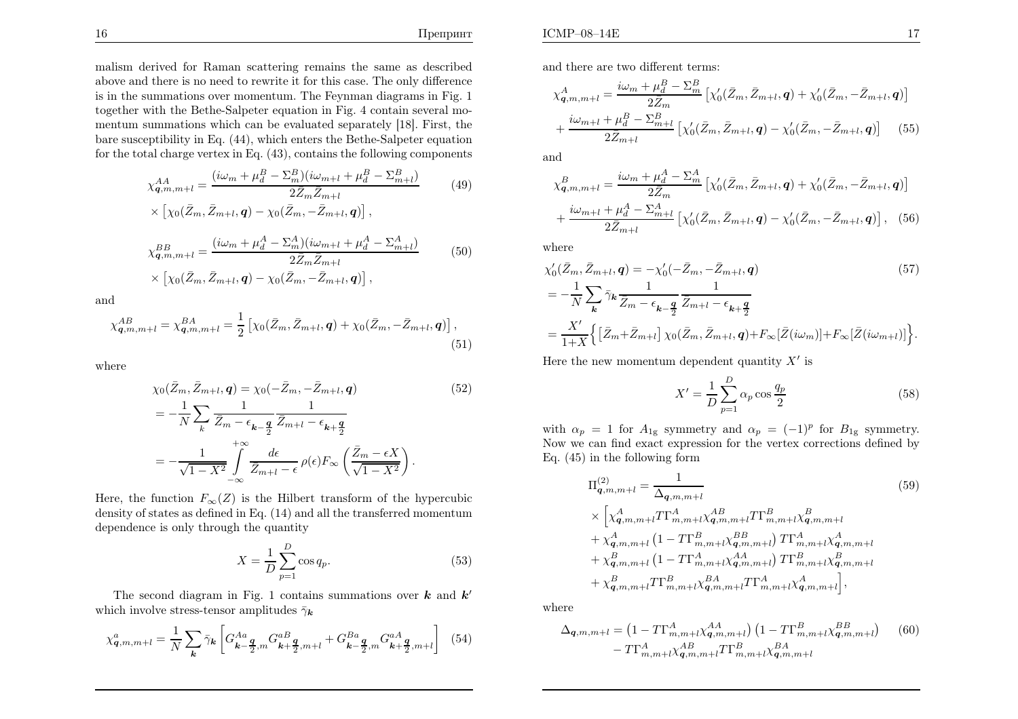malism derived for Raman scattering remains the same as described above and there is no need to rewrite it for this case. The only difference is in the summations over momentum. The Feynman diagrams in Fig. 1 together with the Bethe-Salpeter equation in Fig. 4 contain several momentum summations which can be evaluated separately [18]. First, the bare susceptibility in Eq. (44), which enters the Bethe-Salpeter equationfor the total charge vertex in Eq. (43), contains the following components

$$
\chi_{\mathbf{q},m,m+l}^{AA} = \frac{(i\omega_m + \mu_d^B - \Sigma_m^B)(i\omega_{m+l} + \mu_d^B - \Sigma_{m+l}^B)}{2\bar{Z}_m \bar{Z}_{m+l}} \qquad (49)
$$
  
 
$$
\times \left[ \chi_0(\bar{Z}_m, \bar{Z}_{m+l}, \mathbf{q}) - \chi_0(\bar{Z}_m, -\bar{Z}_{m+l}, \mathbf{q}) \right],
$$

$$
\chi_{\mathbf{q},m,m+l}^{BB} = \frac{(i\omega_m + \mu_d^A - \Sigma_m^A)(i\omega_{m+l} + \mu_d^A - \Sigma_{m+l}^A)}{2\bar{Z}_m \bar{Z}_{m+l}} \tag{50}
$$
\n
$$
\times \left[ \chi_0(\bar{Z}_m, \bar{Z}_{m+l}, \mathbf{q}) - \chi_0(\bar{Z}_m, -\bar{Z}_{m+l}, \mathbf{q}) \right],
$$

and

$$
\chi_{\mathbf{q},m,m+l}^{AB} = \chi_{\mathbf{q},m,m+l}^{BA} = \frac{1}{2} \left[ \chi_0(\bar{Z}_m, \bar{Z}_{m+l}, \mathbf{q}) + \chi_0(\bar{Z}_m, -\bar{Z}_{m+l}, \mathbf{q}) \right],\tag{51}
$$

where

$$
\chi_0(\bar{Z}_m, \bar{Z}_{m+l}, \mathbf{q}) = \chi_0(-\bar{Z}_m, -\bar{Z}_{m+l}, \mathbf{q}) \tag{52}
$$
\n
$$
= -\frac{1}{N} \sum_{k} \frac{1}{\bar{Z}_m - \epsilon_{k-\frac{\mathbf{q}}{2}} \bar{Z}_{m+l} - \epsilon_{k+\frac{\mathbf{q}}{2}}}
$$
\n
$$
= -\frac{1}{\sqrt{1 - X^2}} \int_{-\infty}^{+\infty} \frac{d\epsilon}{\bar{Z}_{m+l} - \epsilon} \rho(\epsilon) F_{\infty} \left( \frac{\bar{Z}_m - \epsilon X}{\sqrt{1 - X^2}} \right).
$$

Here, the function  $F_{\infty}(Z)$  is the Hilbert transform of the hypercubic density of states as defined in Eq. (14) and all the transferred momentumdependence is only through the quantity

$$
X = \frac{1}{D} \sum_{p=1}^{D} \cos q_p.
$$
\n
$$
(53)
$$

The second diagram in Fig. 1 contains summations over  $k$  and  $k'$ which involve stress-tensor amplitudes  $\bar{\gamma}_k$ 

$$
\chi_{\mathbf{q},m,m+l}^{a} = \frac{1}{N} \sum_{\mathbf{k}} \bar{\gamma}_{\mathbf{k}} \left[ G_{\mathbf{k}-\frac{\mathbf{q}}{2},m}^{Aa} G_{\mathbf{k}+\frac{\mathbf{q}}{2},m+l}^{aB} + G_{\mathbf{k}-\frac{\mathbf{q}}{2},m}^{Ba} G_{\mathbf{k}+\frac{\mathbf{q}}{2},m+l}^{aA} \right] (54)
$$

and there are two different terms:

$$
\chi_{\mathbf{q},m,m+l}^{A} = \frac{i\omega_{m} + \mu_{d}^{B} - \Sigma_{m}^{B}}{2\bar{Z}_{m}} \left[ \chi_{0}'(\bar{Z}_{m}, \bar{Z}_{m+l}, \mathbf{q}) + \chi_{0}'(\bar{Z}_{m}, -\bar{Z}_{m+l}, \mathbf{q}) \right] + \frac{i\omega_{m+l} + \mu_{d}^{B} - \Sigma_{m+l}^{B}}{2\bar{Z}_{m+l}} \left[ \chi_{0}'(\bar{Z}_{m}, \bar{Z}_{m+l}, \mathbf{q}) - \chi_{0}'(\bar{Z}_{m}, -\bar{Z}_{m+l}, \mathbf{q}) \right] \tag{55}
$$

and

$$
\chi_{\mathbf{q},m,m+l}^{B} = \frac{i\omega_{m} + \mu_{d}^{A} - \Sigma_{m}^{A}}{2\bar{Z}_{m}} \left[ \chi_{0}'(\bar{Z}_{m}, \bar{Z}_{m+l}, \mathbf{q}) + \chi_{0}'(\bar{Z}_{m}, -\bar{Z}_{m+l}, \mathbf{q}) \right] + \frac{i\omega_{m+l} + \mu_{d}^{A} - \Sigma_{m+l}^{A}}{2\bar{Z}_{m+l}} \left[ \chi_{0}'(\bar{Z}_{m}, \bar{Z}_{m+l}, \mathbf{q}) - \chi_{0}'(\bar{Z}_{m}, -\bar{Z}_{m+l}, \mathbf{q}) \right], \quad (56)
$$

where

$$
\chi'_{0}(\bar{Z}_{m}, \bar{Z}_{m+l}, \mathbf{q}) = -\chi'_{0}(-\bar{Z}_{m}, -\bar{Z}_{m+l}, \mathbf{q}) \qquad (57)
$$
  
=  $-\frac{1}{N} \sum_{\mathbf{k}} \bar{\gamma}_{\mathbf{k}} \frac{1}{\bar{Z}_{m} - \epsilon_{\mathbf{k}-\frac{\mathbf{q}}{2}}} \frac{1}{\bar{Z}_{m+l} - \epsilon_{\mathbf{k}+\frac{\mathbf{q}}{2}}}$   
=  $\frac{X'}{1+X} \Big\{ \big[ \bar{Z}_{m} + \bar{Z}_{m+l} \big] \chi_{0}(\bar{Z}_{m}, \bar{Z}_{m+l}, \mathbf{q}) + F_{\infty}[\bar{Z}(i\omega_{m})] + F_{\infty}[\bar{Z}(i\omega_{m+l})] \Big\}.$ 

Here the new momentum dependent quantity  $X'$  is

$$
X' = \frac{1}{D} \sum_{p=1}^{D} \alpha_p \cos \frac{q_p}{2}
$$
\n
$$
(58)
$$

with  $\alpha_p = 1$  for  $A_{1g}$  symmetry and  $\alpha_p = (-1)^p$  for  $B_{1g}$  symmetry. Now we can find exact expression for the vertex corrections defined byEq. (45) in the following form

$$
\Pi_{\mathbf{q},m,m+l}^{(2)} = \frac{1}{\Delta_{\mathbf{q},m,m+l}} \tag{59}
$$
\n
$$
\times \left[ \chi_{\mathbf{q},m,m+l}^{A} T \Gamma_{m,m+l}^{A} \chi_{\mathbf{q},m,m+l}^{AB} T \Gamma_{m,m+l}^{B} \chi_{\mathbf{q},m,m+l}^{B} + \chi_{\mathbf{q},m,m+l}^{A} \left( 1 - T \Gamma_{m,m+l}^{B} \chi_{\mathbf{q},m,m+l}^{B} \right) T \Gamma_{m,m+l}^{A} \chi_{\mathbf{q},m,m+l}^{A} + \chi_{\mathbf{q},m,m+l}^{B} \left( 1 - T \Gamma_{m,m+l}^{A} \chi_{\mathbf{q},m,m+l}^{A} \right) T \Gamma_{m,m+l}^{B} \chi_{\mathbf{q},m,m+l}^{B} + \chi_{\mathbf{q},m,m+l}^{B} T \Gamma_{m,m+l}^{B} \chi_{\mathbf{q},m,m+l}^{A} \right],
$$
\n
$$
(59)
$$

where

$$
\Delta_{\mathbf{q},m,m+l} = \left(1 - T\Gamma_{m,m+l}^{A} \chi_{\mathbf{q},m,m+l}^{A A} \right) \left(1 - T\Gamma_{m,m+l}^{B} \chi_{\mathbf{q},m,m+l}^{BB} \right) \tag{60} - T\Gamma_{m,m+l}^{A} \chi_{\mathbf{q},m,m+l}^{A B} T\Gamma_{m,m+l}^{B} \chi_{\mathbf{q},m,m+l}^{B A}
$$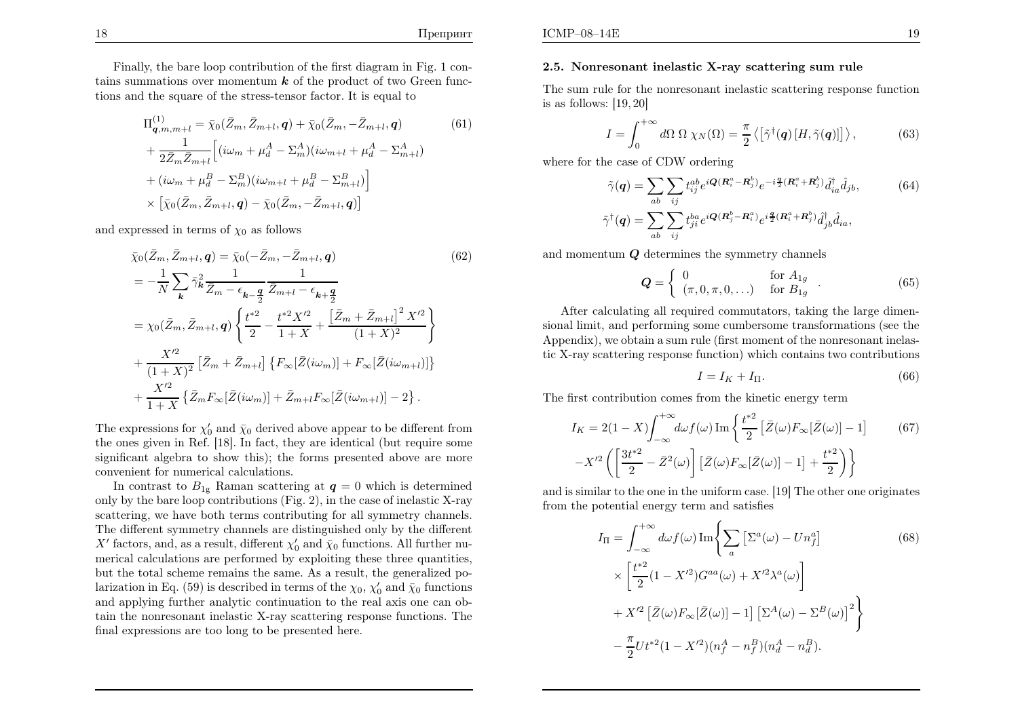Finally, the bare loop contribution of the first diagram in Fig. 1 contains summations over momentum  $k$  of the product of two Green functions and the square of the stress-tensor factor. It is equal to

$$
\Pi_{\mathbf{q},m,m+l}^{(1)} = \bar{\chi}_{0}(\bar{Z}_{m}, \bar{Z}_{m+l}, \mathbf{q}) + \bar{\chi}_{0}(\bar{Z}_{m}, -\bar{Z}_{m+l}, \mathbf{q}) \qquad (61)
$$
\n
$$
+ \frac{1}{2\bar{Z}_{m}\bar{Z}_{m+l}} \Big[ (i\omega_{m} + \mu_{d}^{A} - \Sigma_{m}^{A}) (i\omega_{m+l} + \mu_{d}^{A} - \Sigma_{m+l}^{A})
$$
\n
$$
+ (i\omega_{m} + \mu_{d}^{B} - \Sigma_{m}^{B}) (i\omega_{m+l} + \mu_{d}^{B} - \Sigma_{m+l}^{B}) \Big]
$$
\n
$$
\times \Big[ \bar{\chi}_{0}(\bar{Z}_{m}, \bar{Z}_{m+l}, \mathbf{q}) - \bar{\chi}_{0}(\bar{Z}_{m}, -\bar{Z}_{m+l}, \mathbf{q}) \Big]
$$

and expressed in terms of  $\chi_0$  as follows

$$
\bar{\chi}_{0}(\bar{Z}_{m}, \bar{Z}_{m+l}, \mathbf{q}) = \bar{\chi}_{0}(-\bar{Z}_{m}, -\bar{Z}_{m+l}, \mathbf{q}) \qquad (62)
$$
\n
$$
= -\frac{1}{N} \sum_{\mathbf{k}} \bar{\gamma}_{\mathbf{k}}^{2} \frac{1}{\bar{Z}_{m} - \epsilon_{\mathbf{k} - \frac{\mathbf{q}}{2}} \frac{1}{\bar{Z}_{m+l} - \epsilon_{\mathbf{k} + \frac{\mathbf{q}}{2}}}
$$
\n
$$
= \chi_{0}(\bar{Z}_{m}, \bar{Z}_{m+l}, \mathbf{q}) \left\{ \frac{t^{*2}}{2} - \frac{t^{*2} X'^{2}}{1 + X} + \frac{[\bar{Z}_{m} + \bar{Z}_{m+l}]^{2} X'^{2}}{(1 + X)^{2}} \right\}
$$
\n
$$
+ \frac{X'^{2}}{(1 + X)^{2}} [\bar{Z}_{m} + \bar{Z}_{m+l}] \left\{ F_{\infty}[\bar{Z}(i\omega_{m})] + F_{\infty}[\bar{Z}(i\omega_{m+l})] \right\}
$$
\n
$$
+ \frac{X'^{2}}{1 + X} \left\{ \bar{Z}_{m} F_{\infty}[\bar{Z}(i\omega_{m})] + \bar{Z}_{m+l} F_{\infty}[\bar{Z}(i\omega_{m+l})] - 2 \right\}.
$$
\n(62)

The expressions for  $\chi'_0$  and  $\bar{\chi}_0$  derived above appear to be different from the ones <sup>g</sup>iven in Ref. [18]. In fact, they are identical (but require some significant algebra to show this); the forms presented above are more convenient for numerical calculations.

In contrast to  $B_{1g}$  Raman scattering at  $q = 0$  which is determined only by the bare loop contributions (Fig. 2), in the case of inelastic X-ray scattering, we have both terms contributing for all symmetry channels. The different symmetry channels are distinguished only by the differentX' factors, and, as a result, different  $\chi'_0$  and  $\bar{\chi}_0$  functions. All further nu- merical calculations are performed by exploiting these three quantities, but the total scheme remains the same. As <sup>a</sup> result, the generalized polarization in Eq. (59) is described in terms of the  $\chi_0$ ,  $\chi'_0$  and  $\bar{\chi}_0$  functions and applying further analytic continuation to the real axis one can obtain the nonresonant inelastic X-ray scattering response functions. Thefinal expressions are too long to be presented here.

#### 2.5. Nonresonant inelastic X-ray scattering sum rule

The sum rule for the nonresonant inelastic scattering response functionis as follows: [19, 20]

$$
I = \int_0^{+\infty} d\Omega \ \Omega \ \chi_N(\Omega) = \frac{\pi}{2} \left\langle \left[ \tilde{\gamma}^\dagger(\mathbf{q}) \left[ H, \tilde{\gamma}(\mathbf{q}) \right] \right] \right\rangle, \tag{63}
$$

where for the case of CDW ordering

$$
\tilde{\gamma}(\mathbf{q}) = \sum_{ab} \sum_{ij} t_{ij}^{ab} e^{i\mathbf{Q}(\mathbf{R}_i^a - \mathbf{R}_j^b)} e^{-i\frac{\mathbf{q}}{2}(\mathbf{R}_i^a + \mathbf{R}_j^b)} \hat{d}_{ia}^\dagger \hat{d}_{jb},
$$
\n
$$
\tilde{\gamma}^\dagger(\mathbf{q}) = \sum_{ab} \sum_{ij} t_{ji}^{ba} e^{i\mathbf{Q}(\mathbf{R}_j^b - \mathbf{R}_i^a)} e^{i\frac{\mathbf{q}}{2}(\mathbf{R}_i^a + \mathbf{R}_j^b)} \hat{d}_{jb}^\dagger \hat{d}_{ia},
$$
\n(64)

and momentum  $Q$  determines the symmetry channels

$$
\mathbf{Q} = \left\{ \begin{array}{ll} 0 & \text{for } A_{1g} \\ (\pi, 0, \pi, 0, \ldots) & \text{for } B_{1g} \end{array} \right. \tag{65}
$$

After calculating all required commutators, taking the large dimensional limit, and performing some cumbersome transformations (see the Appendix), we obtain <sup>a</sup> sum rule (first moment of the nonresonant inelastic X-ray scattering response function) which contains two contributions

$$
I = I_K + I_{\Pi}.\tag{66}
$$

The first contribution comes from the kinetic energy term

$$
I_K = 2(1 - X) \int_{-\infty}^{+\infty} d\omega f(\omega) \operatorname{Im} \left\{ \frac{t^{*2}}{2} \left[ \bar{Z}(\omega) F_{\infty}[\bar{Z}(\omega)] - 1 \right] \right\} \tag{67}
$$

$$
-X'^2 \left( \left[ \frac{3t^{*2}}{2} - \bar{Z}^2(\omega) \right] \left[ \bar{Z}(\omega) F_{\infty}[\bar{Z}(\omega)] - 1 \right] + \frac{t^{*2}}{2} \right) \right\}
$$

and is similar to the one in the uniform case. [19] The other one originatesfrom the potential energy term and satisfies

$$
I_{\Pi} = \int_{-\infty}^{+\infty} d\omega f(\omega) \operatorname{Im} \left\{ \sum_{a} \left[ \Sigma^{a}(\omega) - Un_{f}^{a} \right] \right\} \times \left[ \frac{t^{*2}}{2} (1 - X'^{2}) G^{aa}(\omega) + X'^{2} \lambda^{a}(\omega) \right] + X'^{2} \left[ \bar{Z}(\omega) F_{\infty} [\bar{Z}(\omega)] - 1 \right] \left[ \Sigma^{A}(\omega) - \Sigma^{B}(\omega) \right]^{2} \right\} - \frac{\pi}{2} U t^{*2} (1 - X'^{2}) (n_{f}^{A} - n_{f}^{B}) (n_{d}^{A} - n_{d}^{B}).
$$
 (68)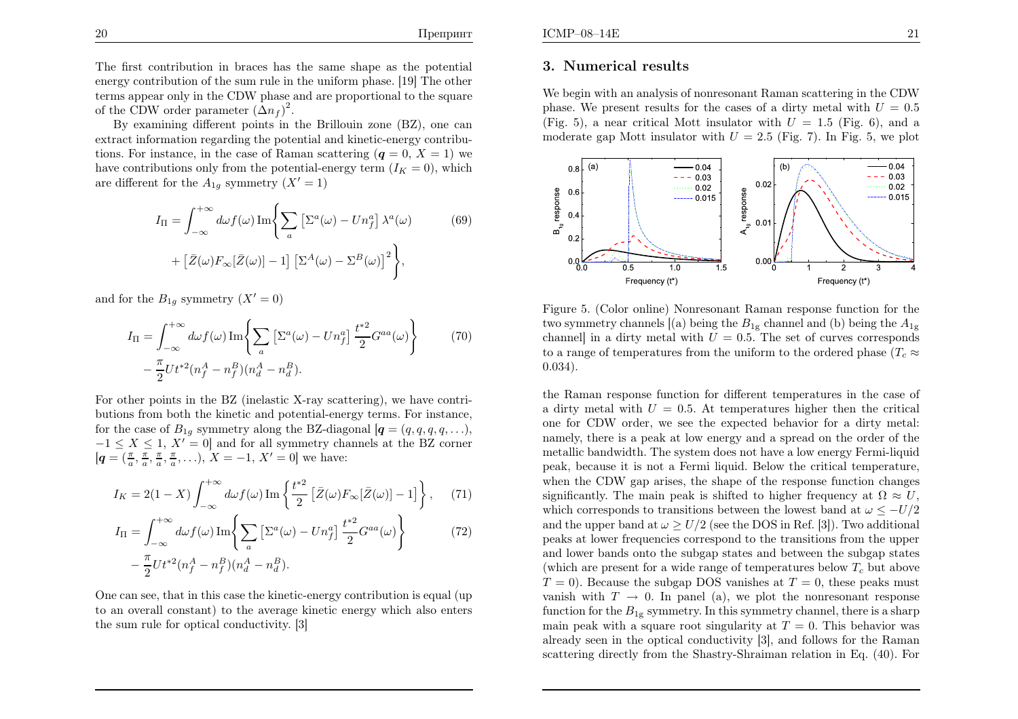Препринт

The first contribution in braces has the same shape as the potential energy contribution of the sum rule in the uniform <sup>p</sup>hase. [19] The other terms appear only in the CDW <sup>p</sup>hase and are proportional to the square of the CDW order parameter  $(\Delta n_f)^2$ .

 By examining different points in the Brillouin zone (BZ), one can extract information regarding the potential and kinetic-energy contributions. For instance, in the case of Raman scattering  $(q = 0, X = 1)$  we have contributions only from the potential-energy term  $(I_K = 0)$ , which are different for the  $A_{1g}$  symmetry  $(X' = 1)$ 

$$
I_{\Pi} = \int_{-\infty}^{+\infty} d\omega f(\omega) \operatorname{Im} \left\{ \sum_{a} \left[ \Sigma^{a}(\omega) - U n_{f}^{a} \right] \lambda^{a}(\omega) \right\} + \left[ \bar{Z}(\omega) F_{\infty}[\bar{Z}(\omega)] - 1 \right] \left[ \Sigma^{A}(\omega) - \Sigma^{B}(\omega) \right]^{2} \right\}, \tag{69}
$$

and for the  $B_{1g}$  symmetry  $(X' = 0)$ 

$$
I_{\Pi} = \int_{-\infty}^{+\infty} d\omega f(\omega) \operatorname{Im} \left\{ \sum_{a} \left[ \Sigma^{a}(\omega) - U n_f^{a} \right] \frac{t^{*2}}{2} G^{aa}(\omega) \right\} - \frac{\pi}{2} U t^{*2} (n_f^A - n_f^B) (n_d^A - n_d^B).
$$
 (70)

For other points in the BZ (inelastic X-ray scattering), we have contributions from both the kinetic and potential-energy terms. For instance,for the case of  $B_{1g}$  symmetry along the BZ-diagonal  $[q = (q, q, q, q, \ldots)]$  $-1 \leq X \leq 1, X' = 0$  and for all symmetry channels at the BZ corner  $[q=(\frac{\pi}{a}, \frac{\pi}{a}, \frac{\pi}{a}, \frac{\pi}{a}, \ldots), X=-1, X'=0]$  we have:

$$
I_K = 2(1 - X) \int_{-\infty}^{+\infty} d\omega f(\omega) \operatorname{Im} \left\{ \frac{t^{*2}}{2} \left[ \bar{Z}(\omega) F_{\infty}[\bar{Z}(\omega)] - 1 \right] \right\}, \quad (71)
$$

$$
I_{\Pi} = \int_{-\infty}^{+\infty} d\omega f(\omega) \operatorname{Im} \left\{ \sum_{a} \left[ \Sigma^{a}(\omega) - U n_{f}^{a} \right] \frac{t^{*2}}{2} G^{aa}(\omega) \right\} - \frac{\pi}{2} U t^{*2} (n_{f}^{A} - n_{f}^{B}) (n_{d}^{A} - n_{d}^{B}).
$$
 (72)

One can see, that in this case the kinetic-energy contribution is equa<sup>l</sup> (up to an overall constant) to the average kinetic energy which also entersthe sum rule for optical conductivity. [3]

### 3. Numerical results

We begin with an analysis of nonresonant Raman scattering in the CDWphase. We present results for the cases of a dirty metal with  $U = 0.5$ (Fig. 5), a near critical Mott insulator with  $U = 1.5$  (Fig. 6), and a moderate gap Mott insulator with  $U = 2.5$  (Fig. 7). In Fig. 5, we plot



Figure 5. (Color online) Nonresonant Raman response function for thetwo symmetry channels  $[(a)$  being the  $B_{1g}$  channel and (b) being the  $A_{1g}$ channel] in a dirty metal with  $U = 0.5$ . The set of curves corresponds to a range of temperatures from the uniform to the ordered phase ( $T_c \approx$ <sup>0</sup>.<sup>034</sup>).

the Raman response function for different temperatures in the case ofa dirty metal with  $U = 0.5$ . At temperatures higher then the critical one for CDW order, we see the expected behavior for <sup>a</sup> dirty metal:namely, there is <sup>a</sup> peak at low energy and <sup>a</sup> spread on the order of the metallic bandwidth. The system does not have <sup>a</sup> low energy Fermi-liquid peak, because it is not <sup>a</sup> Fermi liquid. Below the critical temperature,when the CDW gap arises, the shape of the response function changessignificantly. The main peak is shifted to higher frequency at  $\Omega \approx U$ , which corresponds to transitions between the lowest band at  $\omega \leq -U/2$ and the upper band at  $\omega \ge U/2$  (see the DOS in Ref. [3]). Two additional peaks at lower frequencies correspond to the transitions from the upper and lower bands onto the subgap states and between the subgap states (which are present for a wide range of temperatures below  $T_c$  but above  $T = 0$ . Because the subgap DOS vanishes at  $T = 0$ , these peaks must vanish with  $T \to 0$ . In panel (a), we plot the nonresonant response<br>function for the B<sub>r</sub> symmetry. In this symmetry channel, there is a sharp function for the  $B_{1g}$  symmetry. In this symmetry channel, there is a sharp main peak with a square root singularity at  $T = 0$ . This behavior was already seen in the optical conductivity [3], and follows for the Ramanscattering directly from the Shastry-Shraiman relation in Eq. (40). For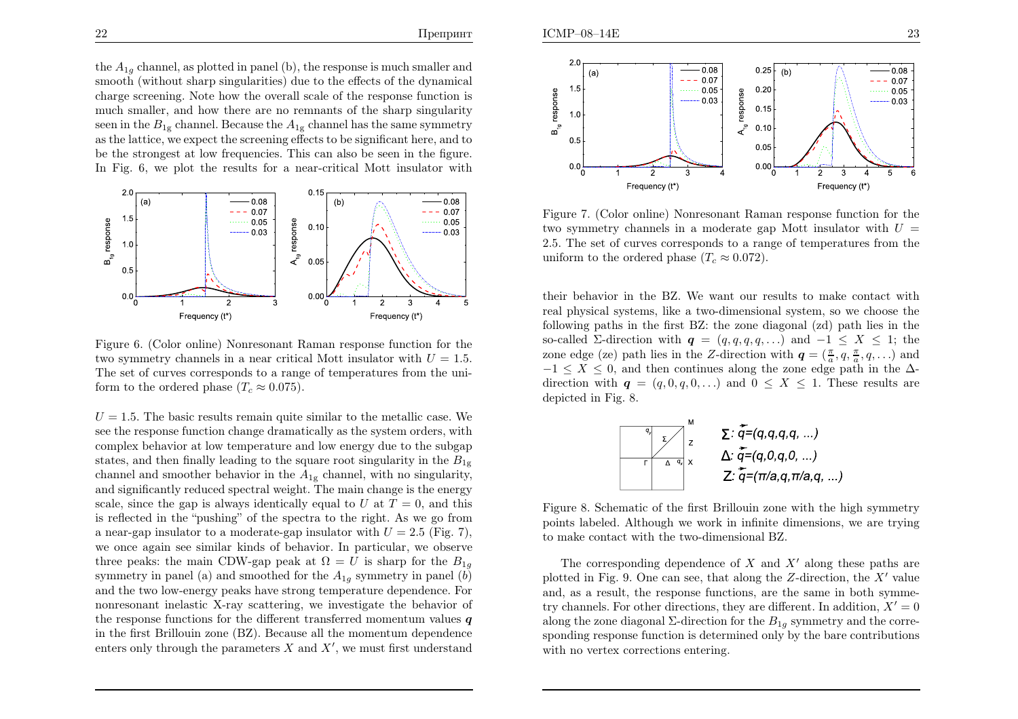the  $A_{1g}$  channel, as plotted in panel (b), the response is much smaller and smooth (without sharp singularities) due to the effects of the dynamical charge screening. Note how the overall scale of the response function is much smaller, and how there are no remnants of the sharp singularityseen in the  $B_{1g}$  channel. Because the  $A_{1g}$  channel has the same symmetry as the lattice, we expect the screening effects to be significant here, and to be the strongest at low frequencies. This can also be seen in the figure.In Fig. 6, we <sup>p</sup>lot the results for <sup>a</sup> near-critical Mott insulator with



Figure 6. (Color online) Nonresonant Raman response function for thetwo symmetry channels in a near critical Mott insulator with  $U = 1.5$ . The set of curves corresponds to a range of temperatures from the uni-<br>factor to the endanglar<br>large  $(T, \alpha)$  0.75) form to the ordered phase  $(T_c \approx 0.075)$ .

 $U = 1.5$ . The basic results remain quite similar to the metallic case. We see the response function change dramatically as the system orders, with complex behavior at low temperature and low energy due to the subgapstates, and then finally leading to the square root singularity in the  $B_{1g}$ channel and smoother behavior in the  $A_{1g}$  channel, with no singularity, and significantly reduced spectral weight. The main change is the energyscale, since the gap is always identically equal to U at  $T = 0$ , and this is reflected in the "pushing" of the spectra to the right. As we go froma near-gap insulator to a moderate-gap insulator with  $U = 2.5$  (Fig. 7), we once again see similar kinds of behavior. In particular, we observethree peaks: the main CDW-gap peak at  $\Omega = U$  is sharp for the  $B_{1g}$ symmetry in panel (a) and smoothed for the  $A_{1g}$  symmetry in panel (b) and the two low-energy peaks have strong temperature dependence. For nonresonant inelastic X-ray scattering, we investigate the behavior ofthe response functions for the different transferred momentum values  $\boldsymbol{q}$  in the first Brillouin zone (BZ). Because all the momentum dependenceenters only through the parameters  $X$  and  $X'$ , we must first understand



Figure 7. (Color online) Nonresonant Raman response function for thetwo symmetry channels in a moderate gap Mott insulator with  $U =$  2.5. The set of curves corresponds to <sup>a</sup> range of temperatures from theuniform to the ordered phase  $(T_c \approx 0.072)$ .

their behavior in the BZ. We want our results to make contact with real physical systems, like <sup>a</sup> two-dimensional system, so we choose the following paths in the first BZ: the zone diagonal (zd) path lies in theso-called  $\Sigma$ -direction with  $q = (q, q, q, q, \ldots)$  and  $-1 \leq X \leq 1$ ; the zone edge (ze) path lies in the Z-direction with  $q = (\frac{\pi}{a}, q, \frac{\pi}{a}, q, \ldots)$  and  $-1 \le X \le 0$ , and then continues along the zone edge path in the  $\Delta$ -<br>direction with  $q = (q, 0, q, 0, \ldots)$  and  $0 \le X \le 1$ . These results are  $\lim_{n \to \infty} q = (q, 0, q, 0, ...)$  and  $0 \leq X \leq 1$ . These results are depicted in Fig. 8.



Figure 8. Schematic of the first Brillouin zone with the high symmetry points labeled. Although we work in infinite dimensions, we are tryingto make contact with the two-dimensional BZ.

The corresponding dependence of X and X' along these paths are<br>thed in Fig. 0. One can see that clang the Z direction, the  $X'$  ralue plotted in Fig. 9. One can see, that along the  $Z$ -direction, the  $X'$  value and, as <sup>a</sup> result, the response functions, are the same in both symmetry channels. For other directions, they are different. In addition,  $X' = 0$ along the zone diagonal  $\Sigma$ -direction for the  $B_{1g}$  symmetry and the corresponding response function is determined only by the bare contributionswith no vertex corrections entering.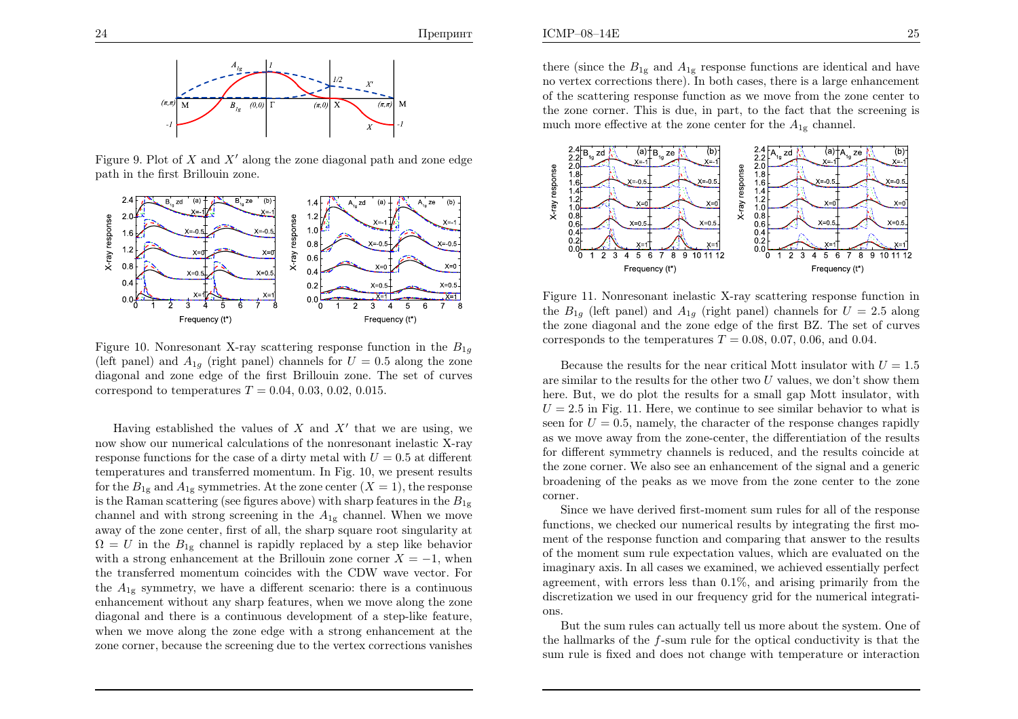

Figure 9. Plot of X and  $X'$  along the zone diagonal path and zone edge<br>rath in the first Prillouin gang path in the first Brillouin zone.



Figure 10. Nonresonant X-ray scattering response function in the  $B_{1g}$ (left panel) and  $A_{1g}$  (right panel) channels for  $U = 0.5$  along the zone diagonal and zone edge of the first Brillouin zone. The set of curvescorrespond to temperatures  $T = 0.04, 0.03, 0.02, 0.015$ .

Having established the values of X and X' that we are using, we change our numerical solutions of the nonpresent inclusive X nonnow show our numerical calculations of the nonresonant inelastic X-rayresponse functions for the case of a dirty metal with  $U = 0.5$  at different temperatures and transferred momentum. In Fig. 10, we present resultsfor the  $B_{1g}$  and  $A_{1g}$  symmetries. At the zone center  $(X = 1)$ , the response is the Raman scattering (see figures above) with sharp features in the  $B_{1\rm g}$ channel and with strong screening in the  $A_{1g}$  channel. When we move away of the zone center, first of all, the sharp square root singularity at $\Omega = U$  in the  $B_{1g}$  channel is rapidly replaced by a step like behavior with a strong enhancement at the Brillouin zone corner  $X = -1$ , when<br>the transformed magnetum equivalent with the CDW were vector. For the transferred momentum coincides with the CDW wave vector. Forthe  $A_{1g}$  symmetry, we have a different scenario: there is a continuous enhancement without any sharp features, when we move along the zone diagonal and there is <sup>a</sup> continuous development of <sup>a</sup> step-like feature,when we move along the zone edge with <sup>a</sup> strong enhancement at thezone corner, because the screening due to the vertex corrections vanishes

there (since the  $B_{1g}$  and  $A_{1g}$  response functions are identical and have no vertex corrections there). In both cases, there is <sup>a</sup> large enhancement of the scattering response function as we move from the zone center to the zone corner. This is due, in part, to the fact that the screening ismuch more effective at the zone center for the  $A_{1g}$  channel.



Figure 11. Nonresonant inelastic X-ray scattering response function inthe  $B_{1g}$  (left panel) and  $A_{1g}$  (right panel) channels for  $U = 2.5$  along the zone diagonal and the zone edge of the first BZ. The set of curvescorresponds to the temperatures  $T = 0.08, 0.07, 0.06, \text{ and } 0.04$ .

Because the results for the near critical Mott insulator with  $U = 1.5$ are similar to the results for the other two  $U$  values, we don't show them here. But, we do <sup>p</sup>lot the results for <sup>a</sup> small gap Mott insulator, with $U = 2.5$  in Fig. 11. Here, we continue to see similar behavior to what is seen for  $U = 0.5$ , namely, the character of the response changes rapidly as we move away from the zone-center, the differentiation of the results for different symmetry channels is reduced, and the results coincide at the zone corner. We also see an enhancement of the signal and <sup>a</sup> generic broadening of the peaks as we move from the zone center to the zonecorner.

Since we have derived first-moment sum rules for all of the response functions, we checked our numerical results by integrating the first moment of the response function and comparing that answer to the results of the moment sum rule expectation values, which are evaluated on the imaginary axis. In all cases we examined, we achieved essentially perfect agreement, with errors less than 0.1%, and arising primarily from the discretization we used in our frequency grid for the numerical integrations.

But the sum rules can actually tell us more about the system. One ofthe hallmarks of the  $f$ -sum rule for the optical conductivity is that the sum rule is fixed and does not change with temperature or interaction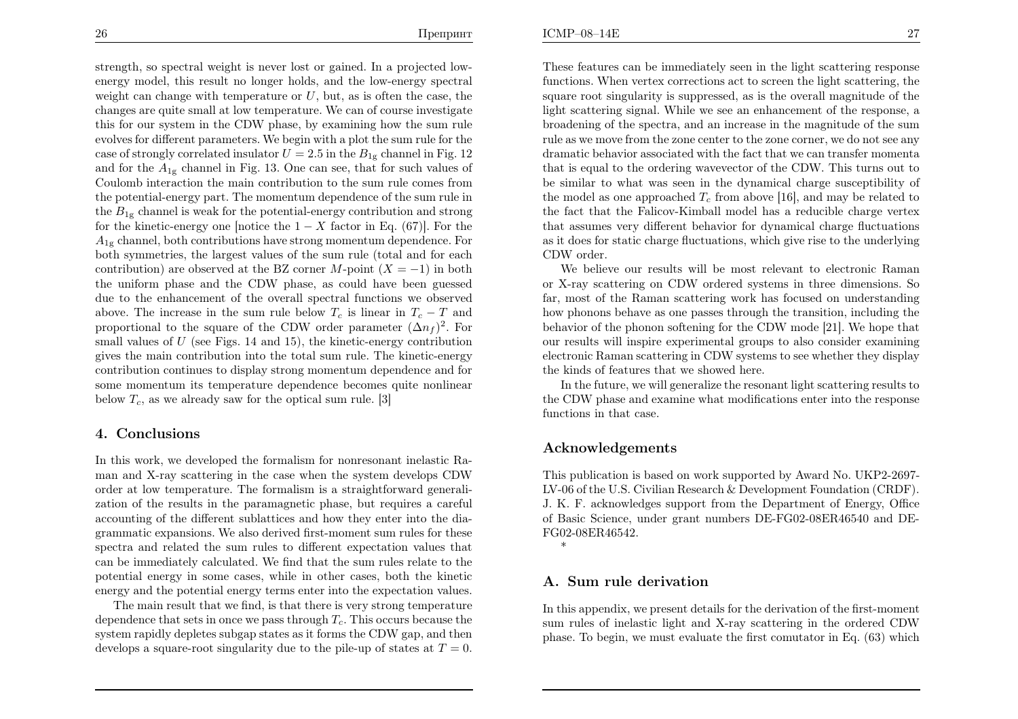ICMP–08–14E

strength, so spectral weight is never lost or gained. In <sup>a</sup> projected lowenergy model, this result no longer holds, and the low-energy spectralweight can change with temperature or  $U$ , but, as is often the case, the changes are quite small at low temperature. We can of course investigate this for our system in the CDW <sup>p</sup>hase, by examining how the sum ruleevolves for different parameters. We begin with a plot the sum rule for the second structure  $U_1$  and  $2.5$  in the  $R$  advancel in  $\text{Eiz}$  12 case of strongly correlated insulator  $U = 2.5$  in the  $B_{1g}$  channel in Fig. 12 and for the  $A_{1g}$  channel in Fig. 13. One can see, that for such values of Coulomb interaction the main contribution to the sum rule comes from the potential-energy part. The momentum dependence of the sum rule inthe  $B_{1g}$  channel is weak for the potential-energy contribution and strong for the kinetic-energy one [notice the  $1 - X$  factor in Eq. (67)]. For the  $A_{1g}$  channel, both contributions have strong momentum dependence. For both symmetries, the largest values of the sum rule (total and for eachcontribution) are observed at the BZ corner M-point  $(X = -1)$  in both the uniform phase and the CDW phase as sould have been guaranteed the uniform <sup>p</sup>hase and the CDW <sup>p</sup>hase, as could have been guessed due to the enhancement of the overall spectral functions we observedabove. The increase in the sum rule below  $T_c$  is linear in  $T_c - T$  and proportional to the square of the CDW order parameter  $(\Delta n_f)^2$ . For small values of  $U$  (see Figs. 14 and 15), the kinetic-energy contribution gives the main contribution into the total sum rule. The kinetic-energy contribution continues to display strong momentum dependence and for some momentum its temperature dependence becomes quite nonlinearbelow  $T_c$ , as we already saw for the optical sum rule. [3]

### 4. Conclusions

In this work, we developed the formalism for nonresonant inelastic Raman and X-ray scattering in the case when the system develops CDW order at low temperature. The formalism is <sup>a</sup> straightforward generalization of the results in the paramagnetic <sup>p</sup>hase, but requires <sup>a</sup> carefulaccounting of the different sublattices and how they enter into the diagrammatic expansions. We also derived first-moment sum rules for these spectra and related the sum rules to different expectation values that can be immediately calculated. We find that the sum rules relate to the potential energy in some cases, while in other cases, both the kineticenergy and the potential energy terms enter into the expectation values.

The main result that we find, is that there is very strong temperaturedependence that sets in once we pass through  $T_c$ . This occurs because the system rapidly depletes subgap states as it forms the CDW gap, and thendevelops a square-root singularity due to the pile-up of states at  $T = 0$ .

These features can be immediately seen in the light scattering response functions. When vertex corrections act to screen the light scattering, the square root singularity is suppressed, as is the overall magnitude of the light scattering signal. While we see an enhancement of the response, <sup>a</sup> broadening of the spectra, and an increase in the magnitude of the sum rule as we move from the zone center to the zone corner, we do not see any dramatic behavior associated with the fact that we can transfer momenta that is equal to the ordering wavevector of the CDW. This turns out to be similar to what was seen in the dynamical charge susceptibility ofthe model as one approached  $T_c$  from above [16], and may be related to the fact that the Falicov-Kimball model has <sup>a</sup> reducible charge vertex that assumes very different behavior for dynamical charge fluctuations as it does for static charge fluctuations, which give rise to the underlyingCDW order.

We believe our results will be most relevant to electronic Raman or X-ray scattering on CDW ordered systems in three dimensions. So far, most of the Raman scattering work has focused on understanding how phonons behave as one passes through the transition, including the behavior of the <sup>p</sup>honon softening for the CDW mode [21]. We hope that our results will inspire experimental groups to also consider examining electronic Raman scattering in CDW systems to see whether they displaythe kinds of features that we showed here.

 In the future, we will generalize the resonant light scattering results to the CDW phase and examine what modifications enter into the responsefunctions in that case.

## Acknowledgements

This publication is based on work supported by Award No. UKP2-2697- LV-06 of the U.S. Civilian Research & Development Foundation (CRDF).J. K. F. acknowledges support from the Department of Energy, Office of Basic Science, under grant numbers DE-FG02-08ER46540 and DE-FG02-08ER46542.

\*

### A. Sum rule derivation

In this appendix, we present details for the derivation of the first-moment sum rules of inelastic light and X-ray scattering in the ordered CDW<sup>p</sup>hase. To begin, we must evaluate the first comutator in Eq. (63) which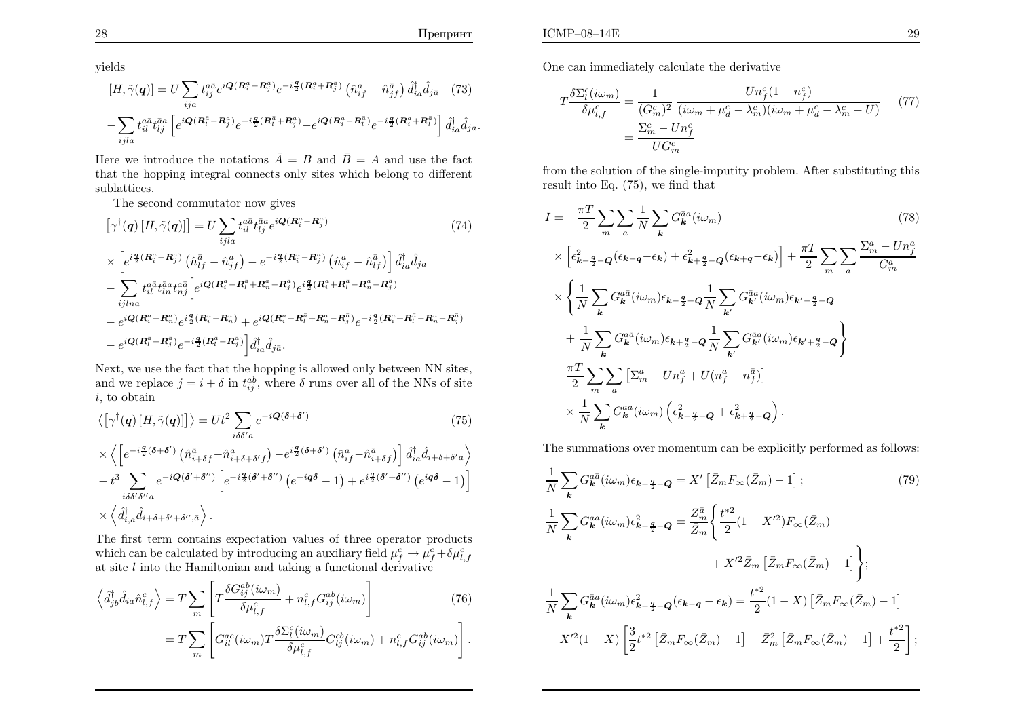yields

$$
[H, \tilde{\gamma}(\mathbf{q})] = U \sum_{ija} t_{ij}^{a\bar{a}} e^{i\mathbf{Q}(\mathbf{R}_{i}^{a} - \mathbf{R}_{j}^{\bar{a}})} e^{-i\frac{\mathbf{q}}{2}(\mathbf{R}_{i}^{a} + \mathbf{R}_{j}^{\bar{a}})} (\hat{n}_{if}^{a} - \hat{n}_{jf}^{\bar{a}}) \hat{d}_{ia}^{\dagger} \hat{d}_{j\bar{a}} (73) - \sum_{ijla} t_{il}^{a\bar{a}} t_{lj}^{\bar{a}a} \left[ e^{i\mathbf{Q}(\mathbf{R}_{i}^{\bar{a}} - \mathbf{R}_{j}^{a})} e^{-i\frac{\mathbf{q}}{2}(\mathbf{R}_{i}^{\bar{a}} + \mathbf{R}_{j}^{a})} - e^{i\mathbf{Q}(\mathbf{R}_{i}^{a} - \mathbf{R}_{i}^{\bar{a}})} e^{-i\frac{\mathbf{q}}{2}(\mathbf{R}_{i}^{a} + \mathbf{R}_{i}^{\bar{a}})} \right] \hat{d}_{ia}^{\dagger} \hat{d}_{ja}.
$$

Here we introduce the notations  $\overline{A} = B$  and  $\overline{B} = A$  and use the fact that the hopping integral connects only sites which belong to differentsublattices.

The second commutator now gives

$$
\begin{split}\n\left[\gamma^{\dagger}(\boldsymbol{q})\left[H,\tilde{\gamma}(\boldsymbol{q})\right]\right] &= U \sum_{ijl a} t_{il}^{a\bar{a}} t_{lj}^{\bar{a}a} e^{i\boldsymbol{Q}(\boldsymbol{R}_{i}^{a}-\boldsymbol{R}_{j}^{a})} \\
&\times \left[e^{i\frac{\boldsymbol{q}}{2}(\boldsymbol{R}_{i}^{a}-\boldsymbol{R}_{j}^{a})}\left(\hat{n}_{lj}^{\bar{a}}-\hat{n}_{jj}^{a}\right)-e^{-i\frac{\boldsymbol{q}}{2}(\boldsymbol{R}_{i}^{a}-\boldsymbol{R}_{j}^{a})}\left(\hat{n}_{ij}^{a}-\hat{n}_{lj}^{\bar{a}}\right)\right] \hat{d}_{ia}^{\dagger} \hat{d}_{ja} \\
&- \sum_{ijlna} t_{il}^{a\bar{a}} t_{ln}^{\bar{a}a} t_{nj}^{a\bar{a}} \left[e^{i\boldsymbol{Q}(\boldsymbol{R}_{i}^{a}-\boldsymbol{R}_{l}^{\bar{a}}+\boldsymbol{R}_{n}^{a}-\boldsymbol{R}_{j}^{\bar{a}})}e^{i\frac{\boldsymbol{q}}{2}(\boldsymbol{R}_{i}^{a}+\boldsymbol{R}_{l}^{\bar{a}}-\boldsymbol{R}_{n}^{a}-\boldsymbol{R}_{j}^{\bar{a}})} -e^{i\boldsymbol{Q}(\boldsymbol{R}_{i}^{a}-\boldsymbol{R}_{n}^{a})}e^{i\frac{\boldsymbol{q}}{2}(\boldsymbol{R}_{i}^{a}-\boldsymbol{R}_{l}^{\bar{a}}+\boldsymbol{R}_{n}^{a}-\boldsymbol{R}_{j}^{\bar{a}})} +e^{i\boldsymbol{Q}(\boldsymbol{R}_{i}^{a}-\boldsymbol{R}_{l}^{\bar{a}}+\boldsymbol{R}_{n}^{a}-\boldsymbol{R}_{j}^{\bar{a}})}e^{-i\frac{\boldsymbol{q}}{2}(\boldsymbol{R}_{i}^{a}+\boldsymbol{R}_{l}^{\bar{a}}-\boldsymbol{R}_{n}^{a}-\boldsymbol{R}_{j}^{\bar{a}})}\\&- e^{i\boldsymbol{Q}(\boldsymbol{R}_{l}^{\bar{a}}-\boldsymbol{R}_{j}^{\bar{a}})}e^{-i\frac{\boldsymbol{q}}{2}(\boldsymbol{R}_{l}^{\bar{a}}-\boldsymbol{R}_{j}^{\bar{a}})}\right] \hat{d}_{ia}^{\dagger} \hat{d}_{j\
$$

Next, we use the fact that the hopping is allowed only between NN sites, and we replace  $j = i + \delta$  in  $t_{ij}^{ab}$ , where  $\delta$  runs over all of the NNs of site i, to obtain

$$
\langle \left[ \gamma^{\dagger}(\mathbf{q}) \left[ H, \tilde{\gamma}(\mathbf{q}) \right] \right] \rangle = Ut^2 \sum_{i\delta\delta' a} e^{-i\mathbf{Q}(\delta + \delta')}
$$
\n
$$
\times \left\langle \left[ e^{-i\frac{\mathbf{q}}{2}(\delta + \delta')} \left( \hat{n}_{i+\delta f}^{\bar{a}} - \hat{n}_{i+\delta + \delta' f}^a \right) - e^{i\frac{\mathbf{q}}{2}(\delta + \delta')} \left( \hat{n}_{if}^{\bar{a}} - \hat{n}_{i+\delta f}^{\bar{a}} \right) \right] \hat{d}_{ia}^{\dagger} \hat{d}_{i+\delta + \delta' a} \right\rangle
$$
\n
$$
(75)
$$

$$
-t^3 \sum_{i\delta\delta'\delta''a} e^{-i\mathbf{Q}(\delta'+\delta'')} \left[ e^{-i\frac{\mathbf{q}}{2}(\delta'+\delta'')} \left( e^{-i\mathbf{q}\delta}-1 \right) + e^{i\frac{\mathbf{q}}{2}(\delta'+\delta'')} \left( e^{i\mathbf{q}\delta}-1 \right) \right]
$$
  
 
$$
\times \left\langle \hat{d}_{i,a}^{\dagger} \hat{d}_{i+\delta+\delta'+\delta'',\bar{a}} \right\rangle.
$$

The first term contains expectation values of three operator productswhich can be calculated by introducing an auxiliary field  $\mu_f^c \to \mu_f^c + \delta \mu_{l,j}^c$  $\begin{array}{c} c \ f \to \mathrm{i_{\mathrm{vast}}} \end{array}$  $\mu$ which can be calculated by introducing an auxiliary field  $\mu_f^c \to \mu_f^c + \delta \mu_{l,f}^c$ <br>at site l into the Hamiltonian and taking a functional derivative

$$
\left\langle \hat{d}_{jb}^{\dagger} \hat{d}_{ia} \hat{n}_{l,f}^{c} \right\rangle = T \sum_{m} \left[ T \frac{\delta G_{ij}^{ab}(i\omega_m)}{\delta \mu_{l,f}^{c}} + n_{l,f}^{c} G_{ij}^{ab}(i\omega_m) \right]
$$
(76)

$$
=T\sum_{m}\left[G_{il}^{ac}(i\omega_m)T\frac{\delta\Sigma_l^c(i\omega_m)}{\delta\mu_{l,f}^c}G_{lj}^{cb}(i\omega_m)+n_{l,f}^cG_{ij}^{ab}(i\omega_m)\right].
$$

One can immediately calculate the derivative

$$
T\frac{\delta \Sigma_l^c(i\omega_m)}{\delta \mu_{l,f}^c} = \frac{1}{(G_m^c)^2} \frac{Un_f^c(1 - n_f^c)}{(i\omega_m + \mu_d^c - \lambda_m^c)(i\omega_m + \mu_d^c - \lambda_m^c - U)} \tag{77}
$$

$$
= \frac{\Sigma_m^c - Un_f^c}{UG_m^c}
$$

from the solution of the single-imputity problem. After substituting thisresult into Eq. (75), we find that

$$
I = -\frac{\pi T}{2} \sum_{m} \sum_{a} \frac{1}{N} \sum_{k} G_{k}^{\bar{a}a}(i\omega_{m})
$$
\n
$$
\times \left[ \epsilon_{k-\frac{q}{2}-Q}^{2}(\epsilon_{k-q}-\epsilon_{k}) + \epsilon_{k+\frac{q}{2}-Q}^{2}(\epsilon_{k+q}-\epsilon_{k}) \right] + \frac{\pi T}{2} \sum_{m} \sum_{a} \frac{\sum_{m}^{a} - Un_{f}^{a}}{G_{m}^{a}}
$$
\n
$$
\times \left\{ \frac{1}{N} \sum_{k} G_{k}^{a\bar{a}}(i\omega_{m}) \epsilon_{k-\frac{q}{2}-Q} \frac{1}{N} \sum_{k'} G_{k'}^{\bar{a}a}(i\omega_{m}) \epsilon_{k'-\frac{q}{2}-Q}
$$
\n
$$
+ \frac{1}{N} \sum_{k} G_{k}^{a\bar{a}}(i\omega_{m}) \epsilon_{k+\frac{q}{2}-Q} \frac{1}{N} \sum_{k'} G_{k'}^{\bar{a}a}(i\omega_{m}) \epsilon_{k'+\frac{q}{2}-Q} \right\}
$$
\n
$$
- \frac{\pi T}{2} \sum_{m} \sum_{a} \left[ \sum_{m}^{a} - Un_{f}^{a} + U(n_{f}^{a} - n_{f}^{\bar{a}}) \right]
$$
\n
$$
\times \frac{1}{N} \sum_{k} G_{k}^{aa}(i\omega_{m}) \left( \epsilon_{k-\frac{q}{2}-Q}^{2} + \epsilon_{k+\frac{q}{2}-Q}^{2} \right).
$$
\n(78)

The summations over momentum can be explicitly performed as follows:

$$
\frac{1}{N} \sum_{\mathbf{k}} G_{\mathbf{k}}^{a\bar{a}} (i\omega_{m}) \epsilon_{\mathbf{k} - \frac{\mathbf{q}}{2} - \mathbf{Q}} = X' \left[ \bar{Z}_{m} F_{\infty} (\bar{Z}_{m}) - 1 \right]; \tag{79}
$$
\n
$$
\frac{1}{N} \sum_{\mathbf{k}} G_{\mathbf{k}}^{aa} (i\omega_{m}) \epsilon_{\mathbf{k} - \frac{\mathbf{q}}{2} - \mathbf{Q}}^{2} = \frac{Z_{m}^{\bar{a}}}{\bar{Z}_{m}} \left\{ \frac{t^{*2}}{2} (1 - X'^{2}) F_{\infty} (\bar{Z}_{m}) + X'^{2} \bar{Z}_{m} \left[ \bar{Z}_{m} F_{\infty} (\bar{Z}_{m}) - 1 \right] \right\};
$$
\n
$$
\frac{1}{N} \sum_{\mathbf{k}} G_{\mathbf{k}}^{\bar{a}a} (i\omega_{m}) \epsilon_{\mathbf{k} - \frac{\mathbf{q}}{2} - \mathbf{Q}} (\epsilon_{\mathbf{k} - \mathbf{q}} - \epsilon_{\mathbf{k}}) = \frac{t^{*2}}{2} (1 - X) \left[ \bar{Z}_{m} F_{\infty} (\bar{Z}_{m}) - 1 \right]
$$
\n
$$
- X'^{2} (1 - X) \left[ \frac{3}{2} t^{*2} \left[ \bar{Z}_{m} F_{\infty} (\bar{Z}_{m}) - 1 \right] - \bar{Z}_{m}^{2} \left[ \bar{Z}_{m} F_{\infty} (\bar{Z}_{m}) - 1 \right] + \frac{t^{*2}}{2} \right];
$$
\n(79)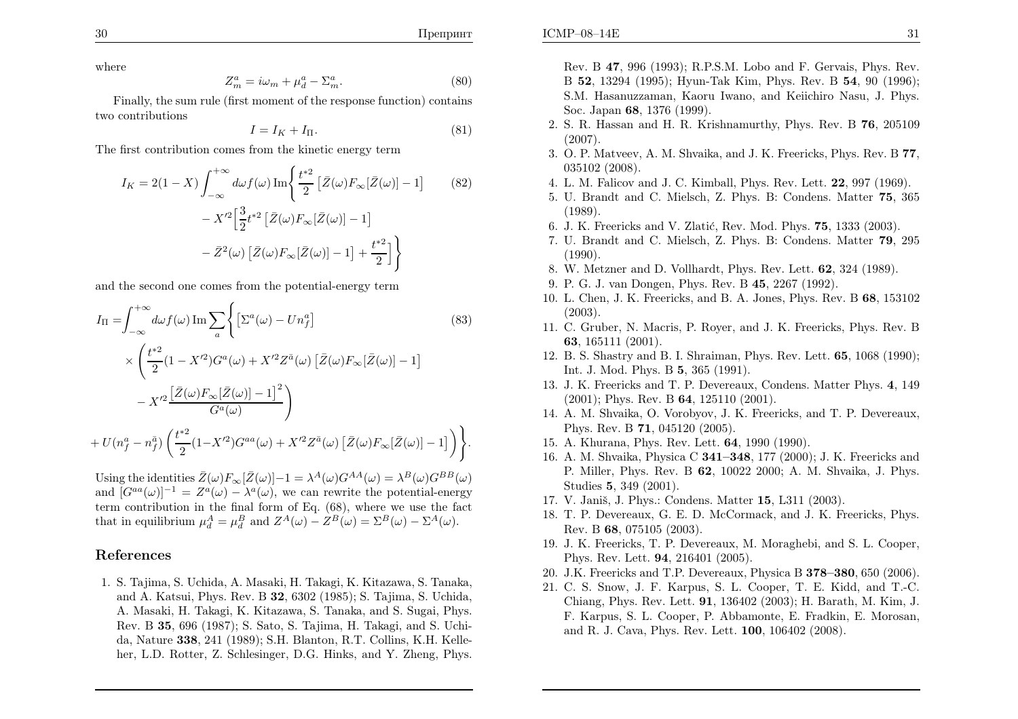ICMP–08–14E

where

$$
Z_m^a = i\omega_m + \mu_d^a - \Sigma_m^a. \tag{80}
$$

 Finally, the sum rule (first moment of the response function) containstwo contributions

$$
I = I_K + I_{\Pi}.\tag{81}
$$

The first contribution comes from the kinetic energy term

$$
I_K = 2(1 - X) \int_{-\infty}^{+\infty} d\omega f(\omega) \operatorname{Im} \left\{ \frac{t^{*2}}{2} \left[ \bar{Z}(\omega) F_{\infty}[\bar{Z}(\omega)] - 1 \right] - X'^2 \left[ \frac{3}{2} t^{*2} \left[ \bar{Z}(\omega) F_{\infty}[\bar{Z}(\omega)] - 1 \right] \right. \\ \left. - \bar{Z}^2(\omega) \left[ \bar{Z}(\omega) F_{\infty}[\bar{Z}(\omega)] - 1 \right] + \frac{t^{*2}}{2} \right] \right\}
$$
(82)

and the second one comes from the potential-energy term

$$
I_{\Pi} = \int_{-\infty}^{+\infty} d\omega f(\omega) \operatorname{Im} \sum_{a} \left\{ \left[ \Sigma^{a}(\omega) - Un_{f}^{a} \right] \right\} \times \left( \frac{t^{*2}}{2} (1 - X'^{2}) G^{a}(\omega) + X'^{2} Z^{\bar{a}}(\omega) \left[ \bar{Z}(\omega) F_{\infty}[\bar{Z}(\omega)] - 1 \right] - X'^{2} \frac{\left[ \bar{Z}(\omega) F_{\infty}[\bar{Z}(\omega)] - 1 \right]^{2}}{G^{a}(\omega)} \right) + U(n_{f}^{a} - n_{f}^{\bar{a}}) \left( \frac{t^{*2}}{2} (1 - X'^{2}) G^{aa}(\omega) + X'^{2} Z^{\bar{a}}(\omega) \left[ \bar{Z}(\omega) F_{\infty}[\bar{Z}(\omega)] - 1 \right] \right) \right\}.
$$
\n
$$
(83)
$$

Using the identities  $\bar{Z}(\omega)F_{\infty}[\bar{Z}(\omega)]-1 = \lambda^{A}(\omega)G^{AA}(\omega) = \lambda^{B}(\omega)G^{BB}(\omega)$ and  $[G^{aa}(\omega)]^{-1} = Z^{a}(\omega) - \lambda^{a}(\omega)$ , we can rewrite the potential-energy term contribution in the final form of Eq. (68), where we use the factthat in equilibrium  $\mu_d^A = \mu_d^B$  and  $Z^A(\omega) - Z^B(\omega) = \Sigma^B(\omega) - \Sigma^A(\omega)$ .

## References

1. S. Tajima, S. Uchida, A. Masaki, H. Takagi, K. Kitazawa, S. Tanaka, and A. Katsui, Phys. Rev. B <sup>32</sup>, <sup>6302</sup> (1985); S. Tajima, S. Uchida, A. Masaki, H. Takagi, K. Kitazawa, S. Tanaka, and S. Sugai, Phys.Rev. B <sup>35</sup>, <sup>696</sup> (1987); S. Sato, S. Tajima, H. Takagi, and S. Uchida, Nature <sup>338</sup>, <sup>241</sup> (1989); S.H. Blanton, R.T. Collins, K.H. Kelleher, L.D. Rotter, Z. Schlesinger, D.G. Hinks, and Y. Zheng, Phys.

- 2. S. R. Hassan and H. R. Krishnamurthy, Phys. Rev. B  $76$ , 205109 (2007).
- 3. O. P. Matveev, A. M. Shvaika, and J. K. Freericks, Phys. Rev. B <sup>77</sup>, <sup>035102</sup> (2008).
- 4. L. M. Falicov and J. C. Kimball, Phys. Rev. Lett. <sup>22</sup>, <sup>997</sup> (1969).
- 5. U. Brandt and C. Mielsch, Z. Phys. B: Condens. Matter <sup>75</sup>, <sup>365</sup>(1989).
- 6. J. K. Freericks and V. Zlatić, Rev. Mod. Phys.  $75$ ,  $1333$   $(2003)$ .
- 7. U. Brandt and C. Mielsch, Z. Phys. B: Condens. Matter <sup>79</sup>, <sup>295</sup>(1990).
- 8. W. Metzner and D. Vollhardt, Phys. Rev. Lett. <sup>62</sup>, <sup>324</sup> (1989).
- 9. P. G. J. van Dongen, Phys. Rev. B <sup>45</sup>, <sup>2267</sup> (1992).
- 10. L. Chen, J. K. Freericks, and B. A. Jones, Phys. Rev. B 68, 153102 (2003).
- 11. C. Gruber, N. Macris, P. Royer, and J. K. Freericks, Phys. Rev. B<sup>63</sup>, <sup>165111</sup> (2001).
- 12. B. S. Shastry and B. I. Shraiman, Phys. Rev. Lett. <sup>65</sup>, <sup>1068</sup> (1990); Int. J. Mod. Phys. B **5**, 365 (1991).
- 13. J. K. Freericks and T. P. Devereaux, Condens. Matter Phys. <sup>4</sup>, 149 $(2001)$ ; Phys. Rev. B **64**, 125110 (2001).
- 14. A. M. Shvaika, O. Vorobyov, J. K. Freericks, and T. P. Devereaux,Phys. Rev. B **71**, 045120 (2005).
- 15. A. Khurana, Phys. Rev. Lett. <sup>64</sup>, <sup>1990</sup> (1990).
- 16. A. M. Shvaika, Physica C 341–348, <sup>177</sup> (2000); J. K. Freericks and P. Miller, Phys. Rev. B 62, 10022 2000; A. M. Shvaika, J. Phys. Studies **5**, 349 (2001).
- 17. V. Janiš, J. Phys.: Condens. Matter 15, L311 (2003).
- 18. T. P. Devereaux, G. E. D. McCormack, and J. K. Freericks, Phys.Rev. B 68, 075105 (2003).<br>L K E Clear T E P
- 19. J. K. Freericks, T. P. Devereaux, M. Moraghebi, and S. L. Cooper,Phys. Rev. Lett. <sup>94</sup>, <sup>216401</sup> (2005).
- 20. J.K. Freericks and T.P. Devereaux, Physica B 378–380, <sup>650</sup> (2006).
- 21. C. S. Snow, J. F. Karpus, S. L. Cooper, T. E. Kidd, and T.-C.Chiang, Phys. Rev. Lett. <sup>91</sup>, <sup>136402</sup> (2003); H. Barath, M. Kim, J. F. Karpus, S. L. Cooper, P. Abbamonte, E. Fradkin, E. Morosan,and R. J. Cava, Phys. Rev. Lett. <sup>100</sup>, <sup>106402</sup> (2008).